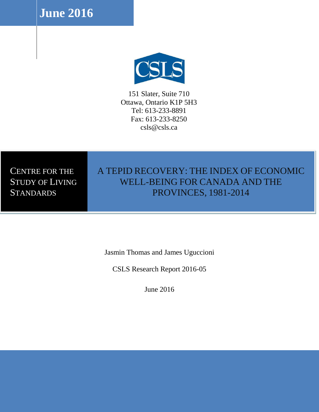**June 2016**



151 Slater, Suite 710 Ottawa, Ontario K1P 5H3 Tel: 613-233-8891 Fax: 613-233-8250 csls@csls.ca

# CENTRE FOR THE STUDY OF LIVING **STANDARDS**

# A TEPID RECOVERY: THE INDEX OF ECONOMIC WELL-BEING FOR CANADA AND THE PROVINCES, 1981-2014

Jasmin Thomas and James Uguccioni

CSLS Research Report 2016-05

June 2016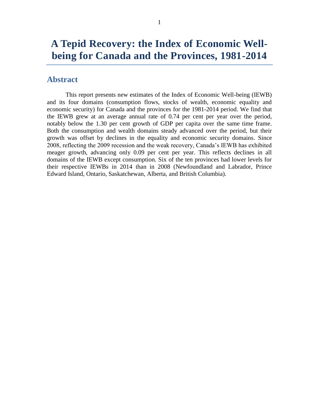# **A Tepid Recovery: the Index of Economic Wellbeing for Canada and the Provinces, 1981-2014**

## <span id="page-1-0"></span>**Abstract**

This report presents new estimates of the Index of Economic Well-being (IEWB) and its four domains (consumption flows, stocks of wealth, economic equality and economic security) for Canada and the provinces for the 1981-2014 period. We find that the IEWB grew at an average annual rate of 0.74 per cent per year over the period, notably below the 1.30 per cent growth of GDP per capita over the same time frame. Both the consumption and wealth domains steady advanced over the period, but their growth was offset by declines in the equality and economic security domains. Since 2008, reflecting the 2009 recession and the weak recovery, Canada's IEWB has exhibited meager growth, advancing only 0.09 per cent per year. This reflects declines in all domains of the IEWB except consumption. Six of the ten provinces had lower levels for their respective IEWBs in 2014 than in 2008 (Newfoundland and Labrador, Prince Edward Island, Ontario, Saskatchewan, Alberta, and British Columbia).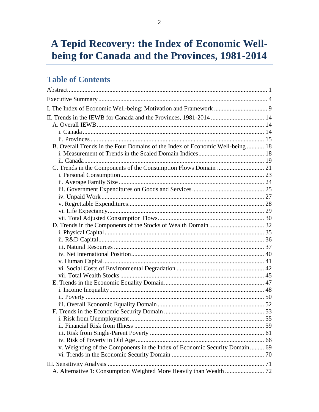# A Tepid Recovery: the Index of Economic Wellbeing for Canada and the Provinces, 1981-2014

## **Table of Contents**

| II. Trends in the IEWB for Canada and the Provinces, 1981-2014  14            |  |
|-------------------------------------------------------------------------------|--|
|                                                                               |  |
|                                                                               |  |
|                                                                               |  |
| B. Overall Trends in the Four Domains of the Index of Economic Well-being  18 |  |
|                                                                               |  |
|                                                                               |  |
|                                                                               |  |
|                                                                               |  |
|                                                                               |  |
|                                                                               |  |
|                                                                               |  |
|                                                                               |  |
|                                                                               |  |
|                                                                               |  |
|                                                                               |  |
|                                                                               |  |
|                                                                               |  |
|                                                                               |  |
|                                                                               |  |
|                                                                               |  |
|                                                                               |  |
|                                                                               |  |
|                                                                               |  |
|                                                                               |  |
|                                                                               |  |
|                                                                               |  |
|                                                                               |  |
|                                                                               |  |
|                                                                               |  |
|                                                                               |  |
|                                                                               |  |
| v. Weighting of the Components in the Index of Economic Security Domain 69    |  |
|                                                                               |  |
|                                                                               |  |
|                                                                               |  |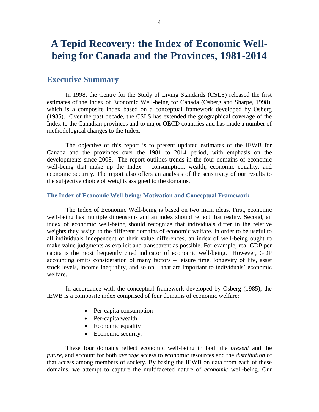# **A Tepid Recovery: the Index of Economic Wellbeing for Canada and the Provinces, 1981-2014**

### <span id="page-4-0"></span>**Executive Summary**

In 1998, the Centre for the Study of Living Standards (CSLS) released the first estimates of the Index of Economic Well-being for Canada (Osberg and Sharpe, 1998), which is a composite index based on a conceptual framework developed by Osberg (1985). Over the past decade, the CSLS has extended the geographical coverage of the Index to the Canadian provinces and to major OECD countries and has made a number of methodological changes to the Index.

The objective of this report is to present updated estimates of the IEWB for Canada and the provinces over the 1981 to 2014 period, with emphasis on the developments since 2008. The report outlines trends in the four domains of economic well-being that make up the Index – consumption, wealth, economic equality, and economic security. The report also offers an analysis of the sensitivity of our results to the subjective choice of weights assigned to the domains.

#### **The Index of Economic Well-being: Motivation and Conceptual Framework**

The Index of Economic Well-being is based on two main ideas. First, economic well-being has multiple dimensions and an index should reflect that reality. Second, an index of economic well-being should recognize that individuals differ in the relative weights they assign to the different domains of economic welfare. In order to be useful to all individuals independent of their value differences, an index of well-being ought to make value judgments as explicit and transparent as possible. For example, real GDP per capita is the most frequently cited indicator of economic well-being. However, GDP accounting omits consideration of many factors – leisure time, longevity of life, asset stock levels, income inequality, and so on – that are important to individuals' economic welfare.

In accordance with the conceptual framework developed by Osberg (1985), the IEWB is a composite index comprised of four domains of economic welfare:

- Per-capita consumption
- Per-capita wealth
- Economic equality
- Economic security.

These four domains reflect economic well-being in both the *present* and the *future*, and account for both *average* access to economic resources and the *distribution* of that access among members of society. By basing the IEWB on data from each of these domains, we attempt to capture the multifaceted nature of *economic* well-being. Our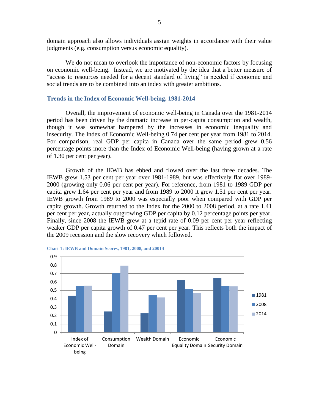domain approach also allows individuals assign weights in accordance with their value judgments (e.g. consumption versus economic equality).

We do not mean to overlook the importance of non-economic factors by focusing on economic well-being. Instead, we are motivated by the idea that a better measure of "access to resources needed for a decent standard of living" is needed if economic and social trends are to be combined into an index with greater ambitions.

#### **Trends in the Index of Economic Well-being, 1981-2014**

Overall, the improvement of economic well-being in Canada over the 1981-2014 period has been driven by the dramatic increase in per-capita consumption and wealth, though it was somewhat hampered by the increases in economic inequality and insecurity. The Index of Economic Well-being 0.74 per cent per year from 1981 to 2014. For comparison, real GDP per capita in Canada over the same period grew 0.56 percentage points more than the Index of Economic Well-being (having grown at a rate of 1.30 per cent per year).

Growth of the IEWB has ebbed and flowed over the last three decades. The IEWB grew 1.53 per cent per year over 1981-1989, but was effectively flat over 1989- 2000 (growing only 0.06 per cent per year). For reference, from 1981 to 1989 GDP per capita grew 1.64 per cent per year and from 1989 to 2000 it grew 1.51 per cent per year. IEWB growth from 1989 to 2000 was especially poor when compared with GDP per capita growth. Growth returned to the Index for the 2000 to 2008 period, at a rate 1.41 per cent per year, actually outgrowing GDP per capita by 0.12 percentage points per year. Finally, since 2008 the IEWB grew at a tepid rate of 0.09 per cent per year reflecting weaker GDP per capita growth of 0.47 per cent per year. This reflects both the impact of the 2009 recession and the slow recovery which followed.



#### <span id="page-5-0"></span>**Chart 1: IEWB and Domain Scores, 1981, 2008, and 20014**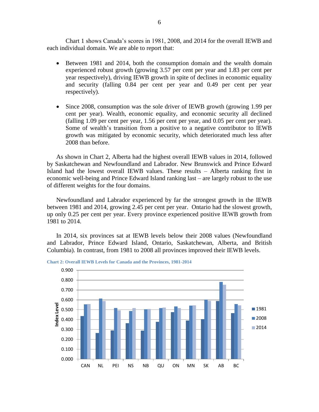[Chart 1](#page-5-0) shows Canada's scores in 1981, 2008, and 2014 for the overall IEWB and each individual domain. We are able to report that:

- Between 1981 and 2014, both the consumption domain and the wealth domain experienced robust growth (growing 3.57 per cent per year and 1.83 per cent per year respectively), driving IEWB growth in spite of declines in economic equality and security (falling 0.84 per cent per year and 0.49 per cent per year respectively).
- Since 2008, consumption was the sole driver of IEWB growth (growing 1.99 per cent per year). Wealth, economic equality, and economic security all declined (falling 1.09 per cent per year, 1.56 per cent per year, and 0.05 per cent per year). Some of wealth's transition from a positive to a negative contributor to IEWB growth was mitigated by economic security, which deteriorated much less after 2008 than before.

As shown in [Chart 2,](#page-6-0) Alberta had the highest overall IEWB values in 2014, followed by Saskatchewan and Newfoundland and Labrador. New Brunswick and Prince Edward Island had the lowest overall IEWB values. These results – Alberta ranking first in economic well-being and Prince Edward Island ranking last – are largely robust to the use of different weights for the four domains.

Newfoundland and Labrador experienced by far the strongest growth in the IEWB between 1981 and 2014, growing 2.45 per cent per year. Ontario had the slowest growth, up only 0.25 per cent per year. Every province experienced positive IEWB growth from 1981 to 2014.

In 2014, six provinces sat at IEWB levels below their 2008 values (Newfoundland and Labrador, Prince Edward Island, Ontario, Saskatchewan, Alberta, and British Columbia). In contrast, from 1981 to 2008 all provinces improved their IEWB levels.



<span id="page-6-0"></span>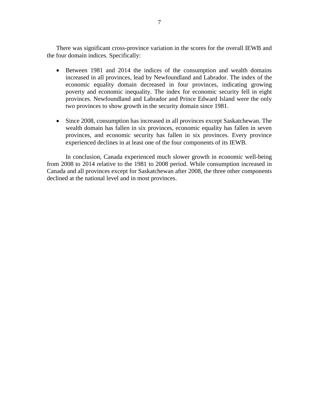There was significant cross-province variation in the scores for the overall IEWB and the four domain indices. Specifically:

- Between 1981 and 2014 the indices of the consumption and wealth domains increased in all provinces, lead by Newfoundland and Labrador. The index of the economic equality domain decreased in four provinces, indicating growing poverty and economic inequality. The index for economic security fell in eight provinces. Newfoundland and Labrador and Prince Edward Island were the only two provinces to show growth in the security domain since 1981.
- Since 2008, consumption has increased in all provinces except Saskatchewan. The wealth domain has fallen in six provinces, economic equality has fallen in seven provinces, and economic security has fallen in six provinces. Every province experienced declines in at least one of the four components of its IEWB.

In conclusion, Canada experienced much slower growth in economic well-being from 2008 to 2014 relative to the 1981 to 2008 period. While consumption increased in Canada and all provinces except for Saskatchewan after 2008, the three other components declined at the national level and in most provinces.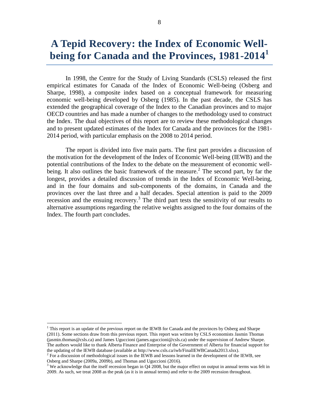# **A Tepid Recovery: the Index of Economic Well**being for Canada and the Provinces, 1981-2014<sup>1</sup>

In 1998, the Centre for the Study of Living Standards (CSLS) released the first empirical estimates for Canada of the Index of Economic Well-being (Osberg and Sharpe, 1998), a composite index based on a conceptual framework for measuring economic well-being developed by Osberg (1985). In the past decade, the CSLS has extended the geographical coverage of the Index to the Canadian provinces and to major OECD countries and has made a number of changes to the methodology used to construct the Index. The dual objectives of this report are to review these methodological changes and to present updated estimates of the Index for Canada and the provinces for the 1981- 2014 period, with particular emphasis on the 2008 to 2014 period.

The report is divided into five main parts. The first part provides a discussion of the motivation for the development of the Index of Economic Well-being (IEWB) and the potential contributions of the Index to the debate on the measurement of economic wellbeing. It also outlines the basic framework of the measure.<sup>2</sup> The second part, by far the longest, provides a detailed discussion of trends in the Index of Economic Well-being, and in the four domains and sub-components of the domains, in Canada and the provinces over the last three and a half decades. Special attention is paid to the 2009 recession and the ensuing recovery.<sup>3</sup> The third part tests the sensitivity of our results to alternative assumptions regarding the relative weights assigned to the four domains of the Index. The fourth part concludes.

 $\overline{a}$ 

<sup>&</sup>lt;sup>1</sup> This report is an update of the previous report on the IEWB for Canada and the provinces by Osberg and Sharpe (2011). Some sections draw from this previous report. This report was written by CSLS economists Jasmin Thomas (jasmin.thomas@csls.ca) and James Uguccioni (james.uguccioni@csls.ca) under the supervision of Andrew Sharpe. The authors would like to thank Alberta Finance and Enterprise of the Government of Alberta for financial support for the updating of the IEWB database (available at http://www.csls.ca/iwb/FinalIEWBCanada2013.xlsx).

 $^2$  For a discussion of methodological issues in the IEWB and lessons learned in the development of the IEWB, see Osberg and Sharpe (2009a, 2009b), and Thomas and Uguccioni (2016).

 $3$  We acknowledge that the itself recession began in Q4 2008, but the major effect on output in annual terms was felt in 2009. As such, we treat 2008 as the peak (as it is in annual terms) and refer to the 2009 recession throughout.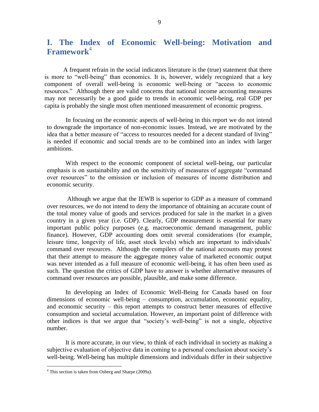## <span id="page-9-0"></span>**I. The Index of Economic Well-being: Motivation and Framework**<sup>4</sup>

A frequent refrain in the social indicators literature is the (true) statement that there is more to "well-being" than economics. It is, however, widely recognized that a key component of overall well-being is economic well-being or "access to economic resources." Although there are valid concerns that national income accounting measures may not necessarily be a good guide to trends in economic well-being, real GDP per capita is probably the single most often mentioned measurement of economic progress.

In focusing on the economic aspects of well-being in this report we do not intend to downgrade the importance of non-economic issues. Instead, we are motivated by the idea that a better measure of "access to resources needed for a decent standard of living" is needed if economic and social trends are to be combined into an index with larger ambitions.

With respect to the economic component of societal well-being, our particular emphasis is on sustainability and on the sensitivity of measures of aggregate "command over resources" to the omission or inclusion of measures of income distribution and economic security.

Although we argue that the IEWB is superior to GDP as a measure of command over resources, we do not intend to deny the importance of obtaining an accurate count of the total money value of goods and services produced for sale in the market in a given country in a given year (i.e. GDP). Clearly, GDP measurement is essential for many important public policy purposes (e.g. macroeconomic demand management, public finance). However, GDP accounting does omit several considerations (for example, leisure time, longevity of life, asset stock levels) which are important to individuals' command over resources. Although the compilers of the national accounts may protest that their attempt to measure the aggregate money value of marketed economic output was never intended as a full measure of economic well-being, it has often been used as such. The question the critics of GDP have to answer is whether alternative measures of command over resources are possible, plausible, and make some difference.

In developing an Index of Economic Well-Being for Canada based on four dimensions of economic well-being – consumption, accumulation, economic equality, and economic security – this report attempts to construct better measures of effective consumption and societal accumulation. However, an important point of difference with other indices is that we argue that "society's well-being" is not a single, objective number.

It is more accurate, in our view, to think of each individual in society as making a subjective evaluation of objective data in coming to a personal conclusion about society's well-being. Well-being has multiple dimensions and individuals differ in their subjective

 $\overline{a}$ 

<sup>&</sup>lt;sup>4</sup> This section is taken from Osberg and Sharpe (2009a).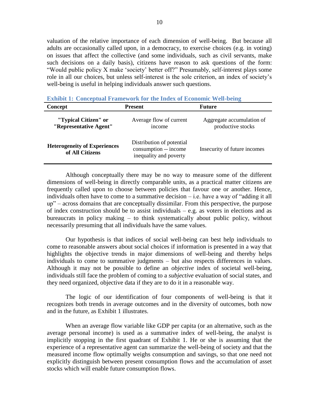valuation of the relative importance of each dimension of well-being. But because all adults are occasionally called upon, in a democracy, to exercise choices (e.g. in voting) on issues that affect the collective (and some individuals, such as civil servants, make such decisions on a daily basis), citizens have reason to ask questions of the form: "Would public policy X make 'society' better off?" Presumably, self-interest plays some role in all our choices, but unless self-interest is the sole criterion, an index of society's well-being is useful in helping individuals answer such questions.

| Concept                                                | Present                                                                      | Future                                         |
|--------------------------------------------------------|------------------------------------------------------------------------------|------------------------------------------------|
| "Typical Citizen" or<br>"Representative Agent"         | Average flow of current<br>income                                            | Aggregate accumulation of<br>productive stocks |
| <b>Heterogeneity of Experiences</b><br>of All Citizens | Distribution of potential<br>consumption -- income<br>inequality and poverty | Insecurity of future incomes                   |

<span id="page-10-0"></span>**Exhibit 1: Conceptual Framework for the Index of Economic Well-being**

Although conceptually there may be no way to measure some of the different dimensions of well-being in directly comparable units, as a practical matter citizens are frequently called upon to choose between policies that favour one or another. Hence, individuals often have to come to a summative decision – i.e. have a way of "adding it all up" – across domains that are conceptually dissimilar. From this perspective, the purpose of index construction should be to assist individuals – e.g. as voters in elections and as bureaucrats in policy making – to think systematically about public policy, without necessarily presuming that all individuals have the same values.

Our hypothesis is that indices of social well-being can best help individuals to come to reasonable answers about social choices if information is presented in a way that highlights the objective trends in major dimensions of well-being and thereby helps individuals to come to summative judgments – but also respects differences in values. Although it may not be possible to define an *objective* index of societal well-being, individuals still face the problem of coming to a *subjective* evaluation of social states, and they need organized, objective data if they are to do it in a reasonable way.

 The logic of our identification of four components of well-being is that it recognizes both trends in average outcomes and in the diversity of outcomes, both now and in the future, as [Exhibit 1](#page-10-0) illustrates.

When an average flow variable like GDP per capita (or an alternative, such as the average personal income) is used as a summative index of well-being, the analyst is implicitly stopping in the first quadrant of [Exhibit 1.](#page-10-0) He or she is assuming that the experience of a representative agent can summarize the well-being of society and that the measured income flow optimally weighs consumption and savings, so that one need not explicitly distinguish between present consumption flows and the accumulation of asset stocks which will enable future consumption flows.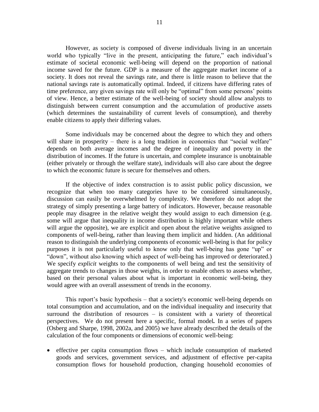However, as society is composed of diverse individuals living in an uncertain world who typically "live in the present, anticipating the future," each individual's estimate of societal economic well-being will depend on the proportion of national income saved for the future. GDP is a measure of the aggregate market income of a society. It does not reveal the savings rate, and there is little reason to believe that the national savings rate is automatically optimal. Indeed, if citizens have differing rates of time preference, any given savings rate will only be "optimal" from some persons' points of view. Hence, a better estimate of the well-being of society should allow analysts to distinguish between current consumption and the accumulation of productive assets (which determines the sustainability of current levels of consumption), and thereby enable citizens to apply their differing values.

Some individuals may be concerned about the degree to which they and others will share in prosperity – there is a long tradition in economics that "social welfare" depends on both average incomes and the degree of inequality and poverty in the distribution of incomes. If the future is uncertain, and complete insurance is unobtainable (either privately or through the welfare state), individuals will also care about the degree to which the economic future is secure for themselves and others.

If the objective of index construction is to assist public policy discussion, we recognize that when too many categories have to be considered simultaneously, discussion can easily be overwhelmed by complexity. We therefore do not adopt the strategy of simply presenting a large battery of indicators. However, because reasonable people may disagree in the relative weight they would assign to each dimension (e.g. some will argue that inequality in income distribution is highly important while others will argue the opposite), we are explicit and open about the relative weights assigned to components of well-being, rather than leaving them implicit and hidden. (An additional reason to distinguish the underlying components of economic well-being is that for policy purposes it is not particularly useful to know only that well-being has gone "up" or "down", without also knowing which aspect of well-being has improved or deteriorated.) We specify *explicit* weights to the components of well being and test the sensitivity of aggregate trends to changes in those weights, in order to enable others to assess whether, based on their personal values about what is important in economic well-being, they would agree with an overall assessment of trends in the economy.

This report's basic hypothesis – that a society's economic well-being depends on total consumption and accumulation, and on the individual inequality and insecurity that surround the distribution of resources – is consistent with a variety of theoretical perspectives. We do not present here a specific, formal model*.* In a series of papers (Osberg and Sharpe, 1998, 2002a, and 2005) we have already described the details of the calculation of the four components or dimensions of economic well-being:

 $\bullet$  effective per capita consumption flows – which include consumption of marketed goods and services, government services, and adjustment of effective per-capita consumption flows for household production, changing household economies of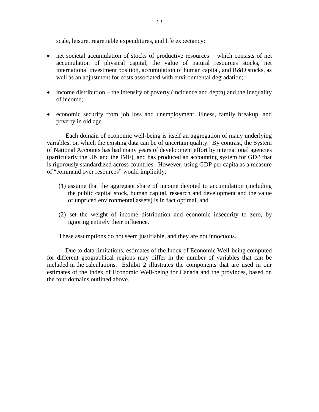scale, leisure, regrettable expenditures, and life expectancy;

- net societal accumulation of stocks of productive resources which consists of net accumulation of physical capital, the value of natural resources stocks, net international investment position, accumulation of human capital, and R&D stocks, as well as an adjustment for costs associated with environmental degradation;
- income distribution the intensity of poverty (incidence and depth) and the inequality of income;
- economic security from job loss and unemployment, illness, family breakup, and poverty in old age.

Each domain of economic well-being is itself an aggregation of many underlying variables, on which the existing data can be of uncertain quality. By contrast, the System of National Accounts has had many years of development effort by international agencies (particularly the UN and the IMF), and has produced an accounting system for GDP that is rigorously standardized across countries. However, using GDP per capita as a measure of "command over resources" would implicitly:

- (1) assume that the aggregate share of income devoted to accumulation (including the public capital stock, human capital, research and development and the value of unpriced environmental assets) is in fact optimal, and
- (2) set the weight of income distribution and economic insecurity to zero, by ignoring entirely their influence.

These assumptions do not seem justifiable, and they are not innocuous.

Due to data limitations, estimates of the Index of Economic Well-being computed for different geographical regions may differ in the number of variables that can be included in the calculations. Exhibit 2 illustrates the components that are used in our estimates of the Index of Economic Well-being for Canada and the provinces, based on the four domains outlined above.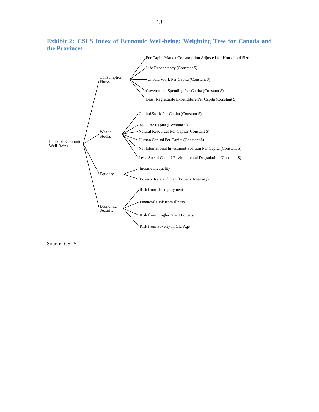

**Exhibit 2: CSLS Index of Economic Well-being: Weighting Tree for Canada and the Provinces**

Source: CSLS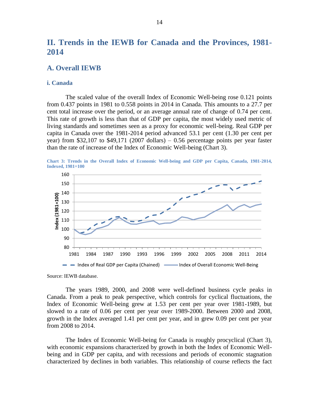## <span id="page-14-0"></span>**II. Trends in the IEWB for Canada and the Provinces, 1981- 2014**

#### <span id="page-14-1"></span>**A. Overall IEWB**

#### <span id="page-14-2"></span>**i. Canada**

The scaled value of the overall Index of Economic Well-being rose 0.121 points from 0.437 points in 1981 to 0.558 points in 2014 in Canada. This amounts to a 27.7 per cent total increase over the period, or an average annual rate of change of 0.74 per cent. This rate of growth is less than that of GDP per capita, the most widely used metric of living standards and sometimes seen as a proxy for economic well-being. Real GDP per capita in Canada over the 1981-2014 period advanced 53.1 per cent (1.30 per cent per year) from \$32,107 to \$49,171 (2007 dollars) – 0.56 percentage points per year faster than the rate of increase of the Index of Economic Well-being [\(Chart 3\)](#page-14-3).

<span id="page-14-3"></span>**Chart 3: Trends in the Overall Index of Economic Well-being and GDP per Capita, Canada, 1981-2014, Indexed, 1981=100**



Source: IEWB database.

The years 1989, 2000, and 2008 were well-defined business cycle peaks in Canada. From a peak to peak perspective, which controls for cyclical fluctuations, the Index of Economic Well-being grew at 1.53 per cent per year over 1981-1989, but slowed to a rate of 0.06 per cent per year over 1989-2000. Between 2000 and 2008, growth in the Index averaged 1.41 per cent per year, and in grew 0.09 per cent per year from 2008 to 2014.

The Index of Economic Well-being for Canada is roughly procyclical [\(Chart 3\)](#page-14-3), with economic expansions characterized by growth in both the Index of Economic Wellbeing and in GDP per capita, and with recessions and periods of economic stagnation characterized by declines in both variables. This relationship of course reflects the fact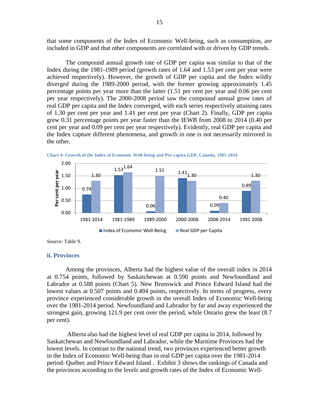that some components of the Index of Economic Well-being, such as consumption, are included in GDP and that other components are correlated with or driven by GDP trends.

The compound annual growth rate of GDP per capita was similar to that of the Index during the 1981-1989 period (growth rates of 1.64 and 1.53 per cent per year were achieved respectively). However, the growth of GDP per capita and the Index wildly diverged during the 1989-2000 period, with the former growing approximately 1.45 percentage points per year more than the latter (1.51 per cent per year and 0.06 per cent per year respectively). The 2000-2008 period saw the compound annual grow rates of real GDP per capita and the Index converged, with each series respectively attaining rates of 1.30 per cent per year and 1.41 per cent per year (Chart 2). Finally, GDP per capita grew 0.31 percentage points per year faster than the IEWB from 2008 to 2014 (0.40 per cent per year and 0.09 per cent per year respectively). Evidently, real GDP per capita and the Index capture different phenomena, and growth in one is not necessarily mirrored in the other.





Source: Table 9.

#### <span id="page-15-0"></span>**ii. Provinces**

Among the provinces, Alberta had the highest value of the overall index in 2014 at 0.754 points, followed by Saskatchewan at 0.590 points and Newfoundland and Labrador at 0.588 points [\(Chart 5\)](#page-16-0). New Brunswick and Prince Edward Island had the lowest values at 0.507 points and 0.494 points, respectively. In terms of progress, every province experienced considerable growth in the overall Index of Economic Well-being over the 1981-2014 period. Newfoundland and Labrador by far and away experienced the strongest gain, growing 121.9 per cent over the period, while Ontario grew the least (8.7 per cent).

Alberta also had the highest level of real GDP per capita in 2014, followed by Saskatchewan and Newfoundland and Labrador, while the Maritime Provinces had the lowest levels. In contrast to the national trend, two provinces experienced better growth in the Index of Economic Well-being than in real GDP per capita over the 1981-2014 period: Québec and Prince Edward Island . Exhibit 3 shows the rankings of Canada and the provinces according to the levels and growth rates of the Index of Economic Well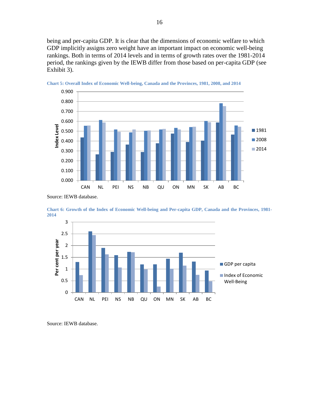being and per-capita GDP. It is clear that the dimensions of economic welfare to which GDP implicitly assigns zero weight have an important impact on economic well-being rankings. Both in terms of 2014 levels and in terms of growth rates over the 1981-2014 period, the rankings given by the IEWB differ from those based on per-capita GDP (see [Exhibit 3\)](#page-17-0).



<span id="page-16-0"></span>

Source: IEWB database.





Source: IEWB database.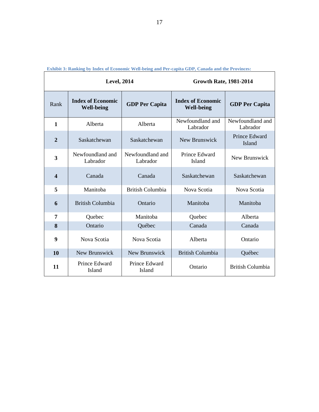|                  | <b>Level, 2014</b>                            |                                | <b>Growth Rate, 1981-2014</b>                 |                              |  |
|------------------|-----------------------------------------------|--------------------------------|-----------------------------------------------|------------------------------|--|
| Rank             | <b>Index of Economic</b><br><b>Well-being</b> | <b>GDP Per Capita</b>          | <b>Index of Economic</b><br><b>Well-being</b> | <b>GDP Per Capita</b>        |  |
| 1                | Alberta                                       | Alberta                        | Newfoundland and<br>Labrador                  | Newfoundland and<br>Labrador |  |
| $\mathbf{2}$     | Saskatchewan                                  | Saskatchewan                   | New Brunswick                                 | Prince Edward<br>Island      |  |
| 3                | Newfoundland and<br>Labrador                  | Newfoundland and<br>Labrador   | Prince Edward<br>Island                       | New Brunswick                |  |
| $\boldsymbol{4}$ | Canada                                        | Canada                         | Saskatchewan                                  | Saskatchewan                 |  |
| 5                | Manitoba                                      | <b>British Columbia</b>        | Nova Scotia                                   | Nova Scotia                  |  |
| 6                | <b>British Columbia</b>                       | Ontario                        | Manitoba                                      | Manitoba                     |  |
| 7                | Quebec                                        | Manitoba                       | Quebec                                        | Alberta                      |  |
| 8                | Ontario                                       | Québec                         | Canada                                        | Canada                       |  |
| 9                | Nova Scotia                                   | Nova Scotia                    | Alberta                                       | Ontario                      |  |
| 10               | New Brunswick                                 | New Brunswick                  | <b>British Columbia</b>                       | Québec                       |  |
| 11               | Prince Edward<br><b>Island</b>                | Prince Edward<br><b>Island</b> | Ontario                                       | <b>British Columbia</b>      |  |

<span id="page-17-0"></span>**Exhibit 3: Ranking by Index of Economic Well-being and Per-capita GDP, Canada and the Provinces:**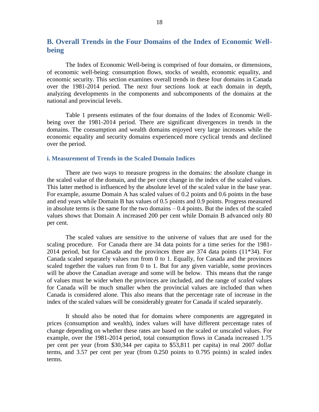## <span id="page-18-0"></span>**B. Overall Trends in the Four Domains of the Index of Economic Wellbeing**

The Index of Economic Well-being is comprised of four domains, or dimensions, of economic well-being: consumption flows, stocks of wealth, economic equality, and economic security. This section examines overall trends in these four domains in Canada over the 1981-2014 period. The next four sections look at each domain in depth, analyzing developments in the components and subcomponents of the domains at the national and provincial levels.

[Table 1](#page-21-1) presents estimates of the four domains of the Index of Economic Wellbeing over the 1981-2014 period. There are significant divergences in trends in the domains. The consumption and wealth domains enjoyed very large increases while the economic equality and security domains experienced more cyclical trends and declined over the period.

#### <span id="page-18-1"></span>**i. Measurement of Trends in the Scaled Domain Indices**

There are two ways to measure progress in the domains: the absolute change in the scaled value of the domain, and the per cent change in the index of the scaled values. This latter method is influenced by the absolute level of the scaled value in the base year. For example, assume Domain A has scaled values of 0.2 points and 0.6 points in the base and end years while Domain B has values of 0.5 points and 0.9 points. Progress measured in absolute terms is the same for the two domains  $-0.4$  points. But the index of the scaled values shows that Domain A increased 200 per cent while Domain B advanced only 80 per cent.

The scaled values are sensitive to the universe of values that are used for the scaling procedure. For Canada there are 34 data points for a time series for the 1981- 2014 period, but for Canada and the provinces there are 374 data points (11\*34). For Canada scaled separately values run from 0 to 1. Equally, for Canada and the provinces scaled together the values run from 0 to 1. But for any given variable, some provinces will be above the Canadian average and some will be below. This means that the range of values must be wider when the provinces are included, and the range of *scaled* values for Canada will be much smaller when the provincial values are included than when Canada is considered alone. This also means that the percentage rate of increase in the index of the scaled values will be considerably greater for Canada if scaled separately.

It should also be noted that for domains where components are aggregated in prices (consumption and wealth), index values will have different percentage rates of change depending on whether these rates are based on the scaled or unscaled values. For example, over the 1981-2014 period, total consumption flows in Canada increased 1.75 per cent per year (from \$30,344 per capita to \$53,811 per capita) in real 2007 dollar terms, and 3.57 per cent per year (from 0.250 points to 0.795 points) in scaled index terms.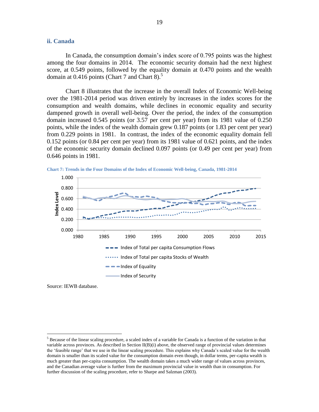#### <span id="page-19-0"></span>**ii. Canada**

In Canada, the consumption domain's index score of 0.795 points was the highest among the four domains in 2014. The economic security domain had the next highest score, at 0.549 points, followed by the equality domain at 0.470 points and the wealth domain at  $0.416$  points [\(Chart 7](#page-19-1) and [Chart 8\)](#page-20-0).<sup>5</sup>

[Chart 8](#page-20-0) illustrates that the increase in the overall Index of Economic Well-being over the 1981-2014 period was driven entirely by increases in the index scores for the consumption and wealth domains, while declines in economic equality and security dampened growth in overall well-being. Over the period, the index of the consumption domain increased 0.545 points (or 3.57 per cent per year) from its 1981 value of 0.250 points, while the index of the wealth domain grew 0.187 points (or 1.83 per cent per year) from 0.229 points in 1981. In contrast, the index of the economic equality domain fell 0.152 points (or 0.84 per cent per year) from its 1981 value of 0.621 points, and the index of the economic security domain declined 0.097 points (or 0.49 per cent per year) from 0.646 points in 1981.



<span id="page-19-1"></span>**Chart 7: Trends in the Four Domains of the Index of Economic Well-being, Canada, 1981-2014**

Source: IEWB database.

 $\overline{a}$ 

 $<sup>5</sup>$  Because of the linear scaling procedure, a scaled index of a variable for Canada is a function of the variation in that</sup> variable across provinces. As described in Section  $II(B)(i)$  above, the observed range of provincial values determines the 'feasible range' that we use in the linear scaling procedure. This explains why Canada's scaled value for the wealth domain is smaller than its scaled value for the consumption domain even though, in dollar terms, per-capita wealth is much greater than per-capita consumption. The wealth domain takes a much wider range of values across provinces, and the Canadian average value is further from the maximum provincial value in wealth than in consumption. For further discussion of the scaling procedure, refer to Sharpe and Salzman (2003).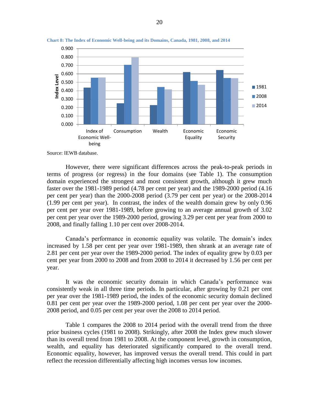

<span id="page-20-0"></span>**Chart 8: The Index of Economic Well-being and its Domains, Canada, 1981, 2008, and 2014**

Source: IEWB database.

However, there were significant differences across the peak-to-peak periods in terms of progress (or regress) in the four domains (see [Table 1\)](#page-21-1). The consumption domain experienced the strongest and most consistent growth, although it grew much faster over the 1981-1989 period (4.78 per cent per year) and the 1989-2000 period (4.16 per cent per year) than the 2000-2008 period (3.79 per cent per year) or the 2008-2014 (1.99 per cent per year). In contrast, the index of the wealth domain grew by only 0.96 per cent per year over 1981-1989, before growing to an average annual growth of 3.02 per cent per year over the 1989-2000 period, growing 3.29 per cent per year from 2000 to 2008, and finally falling 1.10 per cent over 2008-2014.

Canada's performance in economic equality was volatile. The domain's index increased by 1.58 per cent per year over 1981-1989, then shrank at an average rate of 2.81 per cent per year over the 1989-2000 period. The index of equality grew by 0.03 per cent per year from 2000 to 2008 and from 2008 to 2014 it decreased by 1.56 per cent per year.

It was the economic security domain in which Canada's performance was consistently weak in all three time periods. In particular, after growing by 0.21 per cent per year over the 1981-1989 period, the index of the economic security domain declined 0.81 per cent per year over the 1989-2000 period, 1.08 per cent per year over the 2000- 2008 period, and 0.05 per cent per year over the 2008 to 2014 period.

[Table 1](#page-21-1) compares the 2008 to 2014 period with the overall trend from the three prior business cycles (1981 to 2008). Strikingly, after 2008 the Index grew much slower than its overall trend from 1981 to 2008. At the component level, growth in consumption, wealth, and equality has deteriorated significantly compared to the overall trend. Economic equality, however, has improved versus the overall trend. This could in part reflect the recession differentially affecting high incomes versus low incomes.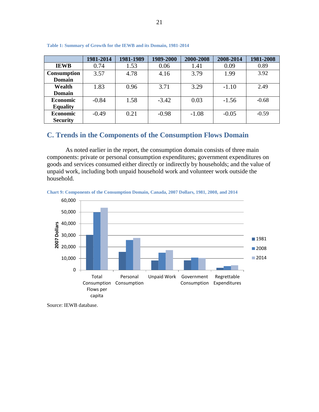|                 | 1981-2014 | 1981-1989 | 1989-2000 | 2000-2008 | 2008-2014 | 1981-2008 |
|-----------------|-----------|-----------|-----------|-----------|-----------|-----------|
| <b>IEWB</b>     | 0.74      | 1.53      | 0.06      | 1.41      | 0.09      | 0.89      |
| Consumption     | 3.57      | 4.78      | 4.16      | 3.79      | 1.99      | 3.92      |
| <b>Domain</b>   |           |           |           |           |           |           |
| Wealth          | 1.83      | 0.96      | 3.71      | 3.29      | $-1.10$   | 2.49      |
| <b>Domain</b>   |           |           |           |           |           |           |
| <b>Economic</b> | $-0.84$   | 1.58      | $-3.42$   | 0.03      | $-1.56$   | $-0.68$   |
| <b>Equality</b> |           |           |           |           |           |           |
| <b>Economic</b> | $-0.49$   | 0.21      | $-0.98$   | $-1.08$   | $-0.05$   | $-0.59$   |
| <b>Security</b> |           |           |           |           |           |           |

<span id="page-21-1"></span>**Table 1: Summary of Growth for the IEWB and its Domain, 1981-2014**

## <span id="page-21-0"></span>**C. Trends in the Components of the Consumption Flows Domain**

As noted earlier in the report, the consumption domain consists of three main components: private or personal consumption expenditures; government expenditures on goods and services consumed either directly or indirectly by households; and the value of unpaid work, including both unpaid household work and volunteer work outside the household.

<span id="page-21-2"></span>



Source: IEWB database.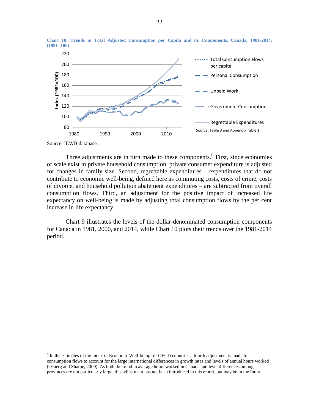

<span id="page-22-0"></span>**Chart 10: Trends in Total Adjusted Consumption per Capita and its Components, Canada, 1981-2014, (1981=100)**

Source: IEWB database.

 $\overline{a}$ 

Three adjustments are in turn made to these components.<sup>6</sup> First, since economies of scale exist in private household consumption, private consumer expenditure is adjusted for changes in family size. Second, regrettable expenditures – expenditures that do not contribute to economic well-being, defined here as commuting costs, costs of crime, costs of divorce, and household pollution abatement expenditures – are subtracted from overall consumption flows. Third, an adjustment for the positive impact of increased life expectancy on well-being is made by adjusting total consumption flows by the per cent increase in life expectancy.

[Chart 9](#page-21-2) illustrates the levels of the dollar-denominated consumption components for Canada in 1981, 2000, and 2014, while [Chart 10](#page-22-0) plots their trends over the 1981-2014 period.

<sup>&</sup>lt;sup>6</sup> In the estimates of the Index of Economic Well-being for OECD countries a fourth adjustment is made to consumption flows to account for the large international differences in growth rates and levels of annual hours worked (Osberg and Sharpe, 2009). As both the trend in average hours worked in Canada and level differences among provinces are not particularly large, this adjustment has not been introduced in this report, but may be in the future.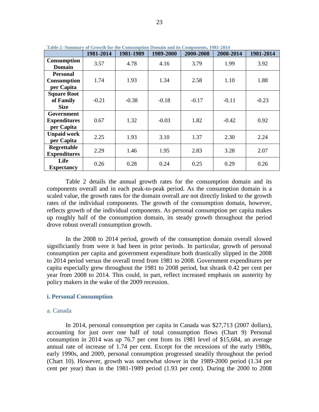|                                                     | 1981-2014 | 1981-1989 | 1989-2000 | 2000-2008 | 2008-2014 | 1981-2014 |
|-----------------------------------------------------|-----------|-----------|-----------|-----------|-----------|-----------|
| <b>Consumption</b><br>Domain                        | 3.57      | 4.78      | 4.16      | 3.79      | 1.99      | 3.92      |
| <b>Personal</b><br><b>Consumption</b><br>per Capita | 1.74      | 1.93      | 1.34      | 2.58      | 1.10      | 1.88      |
| <b>Square Root</b><br>of Family<br><b>Size</b>      | $-0.21$   | $-0.38$   | $-0.18$   | $-0.17$   | $-0.11$   | $-0.23$   |
| Government<br><b>Expenditures</b><br>per Capita     | 0.67      | 1.32      | $-0.03$   | 1.82      | $-0.42$   | 0.92      |
| <b>Unpaid work</b><br>per Capita                    | 2.25      | 1.93      | 3.10      | 1.37      | 2.30      | 2.24      |
| Regrettable<br><b>Expenditures</b>                  | 2.29      | 1.46      | 1.95      | 2.83      | 3.28      | 2.07      |
| Life<br><b>Expectancy</b>                           | 0.26      | 0.28      | 0.24      | 0.25      | 0.29      | 0.26      |

<span id="page-23-1"></span>**Table 2: Summary of Growth for the Consumption Domain and its Components, 1981-2014**

[Table 2](#page-23-1) details the annual growth rates for the consumption domain and its components overall and in each peak-to-peak period. As the consumption domain is a scaled value, the growth rates for the domain overall are not directly linked to the growth rates of the individual components. The growth of the consumption domain, however, reflects growth of the individual components. As personal consumption per capita makes up roughly half of the consumption domain, its steady growth throughout the period drove robust overall consumption growth.

In the 2008 to 2014 period, growth of the consumption domain overall slowed significiantly from were it had been in prior periods. In particular, growth of personal consumption per capita and government expenditure both drastically slipped in the 2008 to 2014 period versus the overall trend from 1981 to 2008. Government expenditures per capita especially grew throughout the 1981 to 2008 period, but shrank 0.42 per cent per year from 2008 to 2014. This could, in part, reflect increased emphasis on austerity by policy makers in the wake of the 2009 recession.

#### <span id="page-23-0"></span>**i. Personal Consumption**

#### a. Canada

In 2014, personal consumption per capita in Canada was \$27,713 (2007 dollars), accounting for just over one half of total consumption flows [\(Chart 9\)](#page-21-2) Personal consumption in 2014 was up 76.7 per cent from its 1981 level of \$15,684, an average annual rate of increase of 1.74 per cent. Except for the recessions of the early 1980s, early 1990s, and 2009, personal consumption progressed steadily throughout the period [\(Chart 10\)](#page-22-0). However, growth was somewhat slower in the 1989-2000 period (1.34 per cent per year) than in the 1981-1989 period (1.93 per cent). During the 2000 to 2008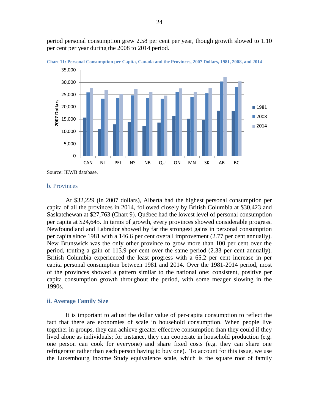period personal consumption grew 2.58 per cent per year, though growth slowed to 1.10 per cent per year during the 2008 to 2014 period.



**Chart 11: Personal Consumption per Capita, Canada and the Provinces, 2007 Dollars, 1981, 2008, and 2014**

Source: IEWB database.

#### b. Provinces

At \$32,229 (in 2007 dollars), Alberta had the highest personal consumption per capita of all the provinces in 2014, followed closely by British Columbia at \$30,423 and Saskatchewan at \$27,763 (Chart 9). Québec had the lowest level of personal consumption per capita at \$24,645. In terms of growth, every provinces showed considerable progress. Newfoundland and Labrador showed by far the strongest gains in personal consumption per capita since 1981 with a 146.6 per cent overall improvement (2.77 per cent annually). New Brunswick was the only other province to grow more than 100 per cent over the period, touting a gain of 113.9 per cent over the same period (2.33 per cent annually). British Columbia experienced the least progress with a 65.2 per cent increase in per capita personal consumption between 1981 and 2014. Over the 1981-2014 period, most of the provinces showed a pattern similar to the national one: consistent, positive per capita consumption growth throughout the period, with some meager slowing in the 1990s.

#### <span id="page-24-0"></span>**ii. Average Family Size**

It is important to adjust the dollar value of per-capita consumption to reflect the fact that there are economies of scale in household consumption. When people live together in groups, they can achieve greater effective consumption than they could if they lived alone as individuals; for instance, they can cooperate in household production (e.g. one person can cook for everyone) and share fixed costs (e.g. they can share one refrigerator rather than each person having to buy one). To account for this issue, we use the Luxembourg Income Study equivalence scale, which is the square root of family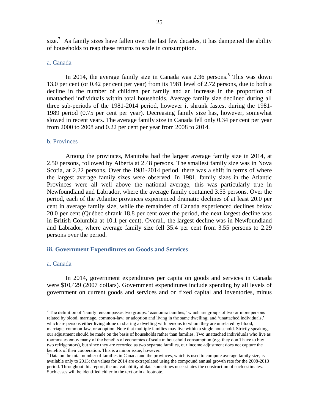size.<sup>7</sup> As family sizes have fallen over the last few decades, it has dampened the ability of households to reap these returns to scale in consumption.

#### a. Canada

In 2014, the average family size in Canada was  $2.36$  persons.<sup>8</sup> This was down 13.0 per cent (or 0.42 per cent per year) from its 1981 level of 2.72 persons, due to both a decline in the number of children per family and an increase in the proportion of unattached individuals within total households. Average family size declined during all three sub-periods of the 1981-2014 period, however it shrunk fastest during the 1981- 1989 period (0.75 per cent per year). Decreasing family size has, however, somewhat slowed in recent years. The average family size in Canada fell only 0.34 per cent per year from 2000 to 2008 and 0.22 per cent per year from 2008 to 2014.

#### b. Provinces

Among the provinces, Manitoba had the largest average family size in 2014, at 2.50 persons, followed by Alberta at 2.48 persons. The smallest family size was in Nova Scotia, at 2.22 persons. Over the 1981-2014 period, there was a shift in terms of where the largest average family sizes were observed. In 1981, family sizes in the Atlantic Provinces were all well above the national average, this was particularly true in Newfoundland and Labrador, where the average family contained 3.55 persons. Over the period, each of the Atlantic provinces experienced dramatic declines of at least 20.0 per cent in average family size, while the remainder of Canada experienced declines below 20.0 per cent (Québec shrank 18.8 per cent over the period, the next largest decline was in British Columbia at 10.1 per cent). Overall, the largest decline was in Newfoundland and Labrador, where average family size fell 35.4 per cent from 3.55 persons to 2.29 persons over the period.

#### <span id="page-25-0"></span>**iii. Government Expenditures on Goods and Services**

#### a. Canada

 $\overline{a}$ 

In 2014, government expenditures per capita on goods and services in Canada were \$10,429 (2007 dollars). Government expenditures include spending by all levels of government on current goods and services and on fixed capital and inventories, minus

<sup>&</sup>lt;sup>7</sup> The definition of 'family' encompasses two groups: 'economic families,' which are groups of two or more persons related by blood, marriage, common-law, or adoption and living in the same dwelling; and 'unattached individuals,' which are persons either living alone or sharing a dwelling with persons to whom they are unrelated by blood, marriage, common-law, or adoption. Note that multiple families may live within a single household. Strictly speaking, our adjustment should be made on the basis of households rather than families. Two unattached individuals who live as roommates enjoy many of the benefits of economies of scale in household consumption (e.g. they don't have to buy two refrigerators), but since they are recorded as two separate families, our income adjustment does not capture the benefits of their cooperation. This is a minor issue, however.

 $8$  Data on the total number of families in Canada and the provinces, which is used to compute average family size, is available only to 2013; the values for 2014 are extrapolated using the compound annual growth rate for the 2008-2013 period. Throughout this report, the unavailability of data sometimes necessitates the construction of such estimates. Such cases will be identified either in the text or in a footnote.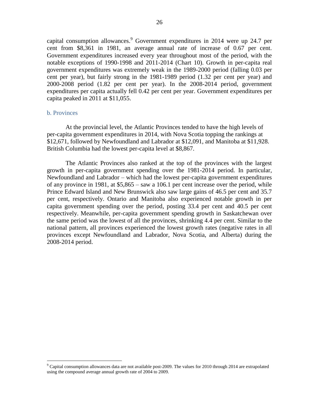capital consumption allowances.<sup>9</sup> Government expenditures in 2014 were up 24.7 per cent from \$8,361 in 1981, an average annual rate of increase of 0.67 per cent. Government expenditures increased every year throughout most of the period, with the notable exceptions of 1990-1998 and 2011-2014 [\(Chart 10\)](#page-22-0). Growth in per-capita real government expenditures was extremely weak in the 1989-2000 period (falling 0.03 per cent per year), but fairly strong in the 1981-1989 period (1.32 per cent per year) and 2000-2008 period (1.82 per cent per year). In the 2008-2014 period, government expenditures per capita actually fell 0.42 per cent per year. Government expenditures per capita peaked in 2011 at \$11,055.

#### b. Provinces

 $\overline{a}$ 

At the provincial level, the Atlantic Provinces tended to have the high levels of per-capita government expenditures in 2014, with Nova Scotia topping the rankings at \$12,671, followed by Newfoundland and Labrador at \$12,091, and Manitoba at \$11,928. British Columbia had the lowest per-capita level at \$8,867.

The Atlantic Provinces also ranked at the top of the provinces with the largest growth in per-capita government spending over the 1981-2014 period. In particular, Newfoundland and Labrador – which had the lowest per-capita government expenditures of any province in 1981, at \$5,865 – saw a 106.1 per cent increase over the period, while Prince Edward Island and New Brunswick also saw large gains of 46.5 per cent and 35.7 per cent, respectively. Ontario and Manitoba also experienced notable growth in per capita government spending over the period, posting 33.4 per cent and 40.5 per cent respectively. Meanwhile, per-capita government spending growth in Saskatchewan over the same period was the lowest of all the provinces, shrinking 4.4 per cent. Similar to the national pattern, all provinces experienced the lowest growth rates (negative rates in all provinces except Newfoundland and Labrador, Nova Scotia, and Alberta) during the 2008-2014 period.

 $9^9$  Capital consumption allowances data are not available post-2009. The values for 2010 through 2014 are extrapolated using the compound average annual growth rate of 2004 to 2009.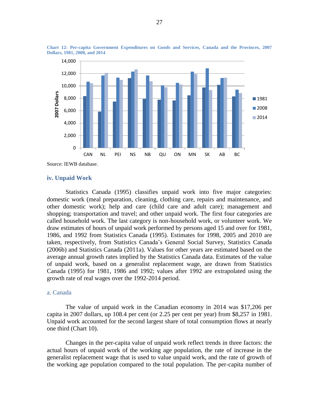

**Chart 12: Per-capita Government Expenditures on Goods and Services, Canada and the Provinces, 2007 Dollars, 1981, 2008, and 2014**

Source: IEWB database.

#### <span id="page-27-0"></span>**iv. Unpaid Work**

Statistics Canada (1995) classifies unpaid work into five major categories: domestic work (meal preparation, cleaning, clothing care, repairs and maintenance, and other domestic work); help and care (child care and adult care); management and shopping; transportation and travel; and other unpaid work. The first four categories are called household work. The last category is non-household work, or volunteer work. We draw estimates of hours of unpaid work performed by persons aged 15 and over for 1981, 1986, and 1992 from Statistics Canada (1995). Estimates for 1998, 2005 and 2010 are taken, respectively, from Statistics Canada's General Social Survey, Statistics Canada (2006b) and Statistics Canada (2011a). Values for other years are estimated based on the average annual growth rates implied by the Statistics Canada data. Estimates of the value of unpaid work, based on a generalist replacement wage, are drawn from Statistics Canada (1995) for 1981, 1986 and 1992; values after 1992 are extrapolated using the growth rate of real wages over the 1992-2014 period.

#### a. Canada

The value of unpaid work in the Canadian economy in 2014 was \$17,206 per capita in 2007 dollars, up 108.4 per cent (or 2.25 per cent per year) from \$8,257 in 1981. Unpaid work accounted for the second largest share of total consumption flows at nearly one third [\(Chart 10\)](#page-22-0).

Changes in the per-capita value of unpaid work reflect trends in three factors: the actual hours of unpaid work of the working age population, the rate of increase in the generalist replacement wage that is used to value unpaid work, and the rate of growth of the working age population compared to the total population. The per-capita number of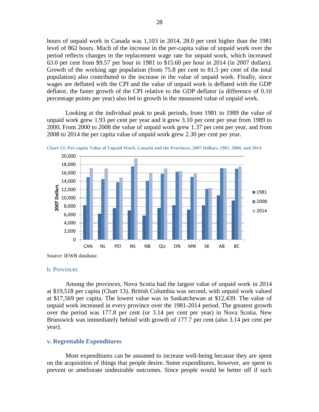hours of unpaid work in Canada was 1,103 in 2014, 28.0 per cent higher than the 1981 level of 862 hours. Much of the increase in the per-capita value of unpaid work over the period reflects changes in the replacement wage rate for unpaid work, which increased 63.0 per cent from \$9.57 per hour in 1981 to \$15.60 per hour in 2014 (in 2007 dollars). Growth of the working age population (from 75.8 per cent to 81.5 per cent of the total population) also contributed to the increase in the value of unpaid work. Finally, since wages are deflated with the CPI and the value of unpaid work is deflated with the GDP deflator, the faster growth of the CPI relative to the GDP deflator (a difference of 0.10 percentage points per year) also led to growth in the measured value of unpaid work.

Looking at the individual peak to peak periods, from 1981 to 1989 the value of unpaid work grew 1.93 per cent per year and it grew 3.10 per cent per year from 1989 to 2000. From 2000 to 2008 the value of unpaid work grew 1.37 per cent per year, and from 2008 to 2014 the per capita value of unpaid work grew 2.30 per cent per year.



<span id="page-28-1"></span>**Chart 13: Per-capita Value of Unpaid Work, Canada and the Provinces, 2007 Dollars, 1981, 2008, and 2014**

Source: IEWB database.

#### b. Provinces

Among the provinces, Nova Scotia had the largest value of unpaid work in 2014 at \$19,518 per capita [\(Chart 13\)](#page-28-1). British Columbia was second, with unpaid work valued at \$17,569 per capita. The lowest value was in Saskatchewan at \$12,439. The value of unpaid work increased in every province over the 1981-2014 period. The greatest growth over the period was 177.8 per cent (or 3.14 per cent per year) in Nova Scotia. New Brunswick was immediately behind with growth of 177.7 per cent (also 3.14 per cent per year).

#### <span id="page-28-0"></span>**v. Regrettable Expenditures**

Most expenditures can be assumed to increase well-being because they are spent on the acquisition of things that people desire. Some expenditures, however, are spent to prevent or ameliorate undesirable outcomes. Since people would be better off if such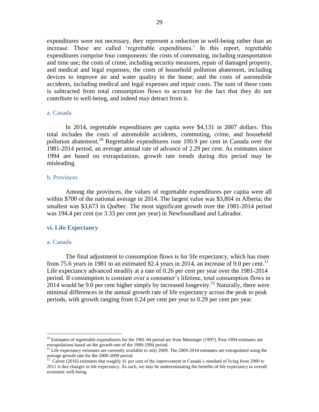expenditures were not necessary, they represent a reduction in well-being rather than an increase. These are called 'regrettable expenditures.' In this report, regrettable expenditures comprise four components: the costs of commuting, including transportation and time use; the costs of crime, including security measures, repair of damaged property, and medical and legal expenses; the costs of household pollution abatement, including devices to improve air and water quality in the home; and the costs of automobile accidents, including medical and legal expenses and repair costs. The sum of these costs is subtracted from total consumption flows to account for the fact that they do not contribute to well-being, and indeed may detract from it.

#### a. Canada

In 2014, regrettable expenditures per capita were \$4,131 in 2007 dollars. This total includes the costs of automobile accidents, commuting, crime, and household pollution abatement.<sup>10</sup> Regrettable expenditures rose 100.9 per cent in Canada over the 1981-2014 period, an average annual rate of advance of 2.29 per cent. As estimates since 1994 are based on extrapolations, growth rate trends during this period may be misleading.

#### b. Provinces

Among the provinces, the values of regrettable expenditures per capita were all within \$700 of the national average in 2014. The largest value was \$3,804 in Alberta; the smallest was \$3,673 in Québec. The most significant growth over the 1981-2014 period was 194.4 per cent (or 3.33 per cent per year) in Newfoundland and Labrador.

#### <span id="page-29-0"></span>**vi. Life Expectancy**

#### a. Canada

 $\overline{a}$ 

The final adjustment to consumption flows is for life expectancy, which has risen from 75.6 years in 1981 to an estimated 82.4 years in 2014, an increase of 9.0 per cent.<sup>11</sup> Life expectancy advanced steadily at a rate of 0.26 per cent per year over the 1981-2014 period. If consumption is constant over a consumer's lifetime, total consumption flows in 2014 would be 9.0 per cent higher simply by increased longevity.<sup>12</sup> Naturally, there were minimal differences in the annual growth rate of life expectancy across the peak to peak periods, with growth ranging from 0.24 per cent per year to 0.29 per cent per year.

 $10$  Estimates of regrettable expenditures for the 1981-94 period are from Messinger (1997). Post-1994 estimates are extrapolations based on the growth rate of the 1989-1994 period.

<sup>&</sup>lt;sup>11</sup> Life expectancy estimates are currently available to only 2009. The 2009-2014 estimates are extrapolated using the average growth rate for the 2000-2009 period.<br><sup>12</sup> Calver (2016) estimates that roughly 41 per cent of the improvement in Canada's standard of living from 2000 to

<sup>2011</sup> is due changes in life expectancy. As such, we may be underestimating the benefits of life expectancy to overall economic well-being.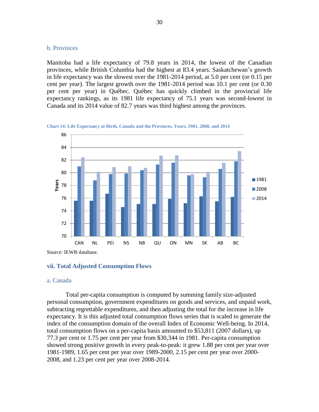#### b. Provinces

Manitoba had a life expectancy of 79.8 years in 2014, the lowest of the Canadian provinces, while British Columbia had the highest at 83.4 years. Saskatchewan's growth in life expectancy was the slowest over the 1981-2014 period, at 5.0 per cent (or 0.15 per cent per year). The largest growth over the 1981-2014 period was 10.1 per cent (or 0.30 per cent per year) in Québec. Québec has quickly climbed in the provincial life expectancy rankings, as its 1981 life expectancy of 75.1 years was second-lowest in Canada and its 2014 value of 82.7 years was third highest among the provinces.



**Chart 14: Life Expectancy at Birth, Canada and the Provinces, Years, 1981, 2008, and 2014**

Source: IEWB database.

#### <span id="page-30-0"></span>**vii. Total Adjusted Consumption Flows**

#### a. Canada

Total per-capita consumption is computed by summing family size-adjusted personal consumption, government expenditures on goods and services, and unpaid work, subtracting regrettable expenditures, and then adjusting the total for the increase in life expectancy. It is this adjusted total consumption flows series that is scaled to generate the index of the consumption domain of the overall Index of Economic Well-being. In 2014, total consumption flows on a per-capita basis amounted to \$53,811 (2007 dollars), up 77.3 per cent or 1.75 per cent per year from \$30,344 in 1981. Per-capita consumption showed strong positive growth in every peak-to-peak: it grew 1.88 per cent per year over 1981-1989, 1.65 per cent per year over 1989-2000, 2.15 per cent per year over 2000- 2008, and 1.23 per cent per year over 2008-2014.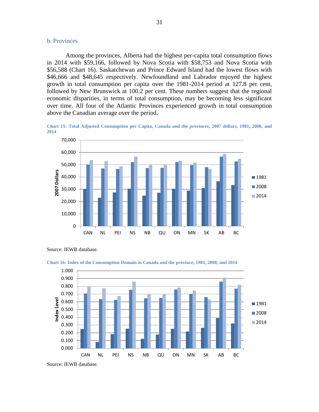#### b. Provinces

Among the provinces, Alberta had the highest per-capita total consumption flows in 2014 with \$59,166, followed by Nova Scotia with \$58,753 and Nova Scotia with \$56,588 [\(Chart 16\)](#page-31-0). Saskatchewan and Prince Edward Island had the lowest flows with \$46,666 and \$48,645 respectively. Newfoundland and Labrador enjoyed the highest growth in total consumption per capita over the 1981-2014 period at 127.8 per cent, followed by New Brunswick at 100.2 per cent. These numbers suggest that the regional economic disparities, in terms of total consumption, may be becoming less significant over time. All four of the Atlantic Provinces experienced growth in total consumption above the Canadian average over the period.

**Chart 15: Total Adjusted Consumption per Capita, Canada and the provinces, 2007 dollars, 1981, 2008, and 2014**



Source: IEWB database.



<span id="page-31-0"></span>**Chart 16: Index of the Consumption Domain in Canada and the province, 1981, 2008, and 2014**

Source: IEWB database.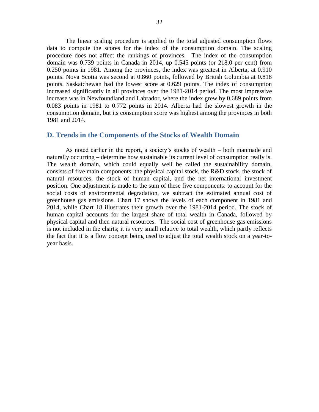The linear scaling procedure is applied to the total adjusted consumption flows data to compute the scores for the index of the consumption domain. The scaling procedure does not affect the rankings of provinces. The index of the consumption domain was 0.739 points in Canada in 2014, up 0.545 points (or 218.0 per cent) from 0.250 points in 1981. Among the provinces, the index was greatest in Alberta, at 0.910 points. Nova Scotia was second at 0.860 points, followed by British Columbia at 0.818 points. Saskatchewan had the lowest score at 0.629 points. The index of consumption increased significantly in all provinces over the 1981-2014 period. The most impressive increase was in Newfoundland and Labrador, where the index grew by 0.689 points from 0.083 points in 1981 to 0.772 points in 2014. Alberta had the slowest growth in the consumption domain, but its consumption score was highest among the provinces in both 1981 and 2014.

#### <span id="page-32-0"></span>**D. Trends in the Components of the Stocks of Wealth Domain**

As noted earlier in the report, a society's stocks of wealth – both manmade and naturally occurring – determine how sustainable its current level of consumption really is. The wealth domain, which could equally well be called the sustainability domain, consists of five main components: the physical capital stock, the R&D stock, the stock of natural resources, the stock of human capital, and the net international investment position. One adjustment is made to the sum of these five components: to account for the social costs of environmental degradation, we subtract the estimated annual cost of greenhouse gas emissions. [Chart 17](#page-33-0) shows the levels of each component in 1981 and 2014, while [Chart 18](#page-33-1) illustrates their growth over the 1981-2014 period. The stock of human capital accounts for the largest share of total wealth in Canada, followed by physical capital and then natural resources. The social cost of greenhouse gas emissions is not included in the charts; it is very small relative to total wealth, which partly reflects the fact that it is a flow concept being used to adjust the total wealth stock on a year-toyear basis.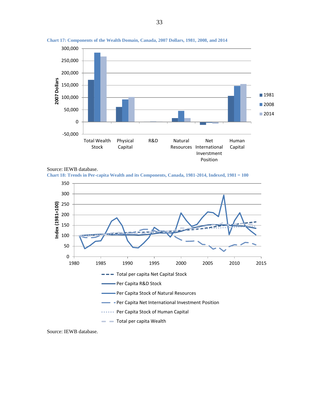

<span id="page-33-0"></span>**Chart 17: Components of the Wealth Domain, Canada, 2007 Dollars, 1981, 2008, and 2014**



<span id="page-33-1"></span>**Chart 18: Trends in Per-capita Wealth and its Components, Canada, 1981-2014, Indexed, 1981 = 100**



Source: IEWB database.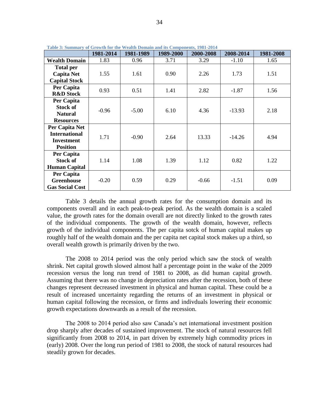|                        | 1981-2014 | 1981-1989 | 1989-2000 | 2000-2008 | 2008-2014 | 1981-2008 |
|------------------------|-----------|-----------|-----------|-----------|-----------|-----------|
| <b>Wealth Domain</b>   | 1.83      | 0.96      | 3.71      | 3.29      | $-1.10$   | 1.65      |
| <b>Total per</b>       |           |           |           |           |           |           |
| <b>Capita Net</b>      | 1.55      | 1.61      | 0.90      | 2.26      | 1.73      | 1.51      |
| <b>Capital Stock</b>   |           |           |           |           |           |           |
| Per Capita             | 0.93      | 0.51      | 1.41      | 2.82      | $-1.87$   | 1.56      |
| <b>R&amp;D</b> Stock   |           |           |           |           |           |           |
| Per Capita             |           |           |           |           |           |           |
| <b>Stock of</b>        | $-0.96$   | $-5.00$   | 6.10      | 4.36      | $-13.93$  | 2.18      |
| <b>Natural</b>         |           |           |           |           |           |           |
| <b>Resources</b>       |           |           |           |           |           |           |
| Per Capita Net         |           |           |           |           |           |           |
| <b>International</b>   | 1.71      | $-0.90$   | 2.64      | 13.33     | $-14.26$  | 4.94      |
| <b>Investment</b>      |           |           |           |           |           |           |
| <b>Position</b>        |           |           |           |           |           |           |
| Per Capita             |           |           |           |           |           |           |
| <b>Stock of</b>        | 1.14      | 1.08      | 1.39      | 1.12      | 0.82      | 1.22      |
| <b>Human Capital</b>   |           |           |           |           |           |           |
| Per Capita             |           |           |           |           |           |           |
| <b>Greenhouse</b>      | $-0.20$   | 0.59      | 0.29      | $-0.66$   | $-1.51$   | 0.09      |
| <b>Gas Social Cost</b> |           |           |           |           |           |           |

<span id="page-34-0"></span>**Table 3: Summary of Growth for the Wealth Domain and its Components, 1981-2014**

[Table 3](#page-34-0) details the annual growth rates for the consumption domain and its components overall and in each peak-to-peak period. As the wealth domain is a scaled value, the growth rates for the domain overall are not directly linked to the growth rates of the individual components. The growth of the wealth domain, however, reflects growth of the individual components. The per capita sotck of human capital makes up roughly half of the wealth domain and the per capita net capital stock makes up a third, so overall wealth growth is primarily driven by the two.

The 2008 to 2014 period was the only period which saw the stock of wealth shrink. Net capital growth slowed almost half a percentage point in the wake of the 2009 recession versus the long run trend of 1981 to 2008, as did human capital growth. Assuming that there was no change in depreciation rates after the recession, both of these changes represent decreased investment in physical and human capital. These could be a result of increased uncertainty regarding the returns of an investment in physical or human capital following the recession, or firms and indivduals lowering their economic growth expectations downwards as a result of the recession.

The 2008 to 2014 period also saw Canada's net international investment position drop sharply after decades of sustained improvement. The stock of natural resources fell significantly from 2008 to 2014, in part driven by extremely high commodity prices in (early) 2008. Over the long run period of 1981 to 2008, the stock of natural resources had steadily grown for decades.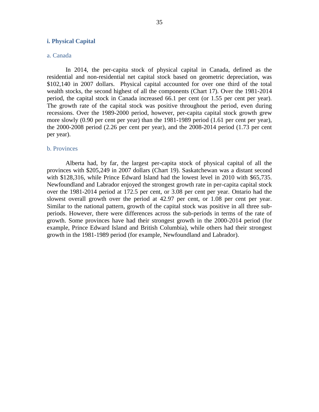#### <span id="page-35-0"></span>**i. Physical Capital**

#### a. Canada

In 2014, the per-capita stock of physical capital in Canada, defined as the residential and non-residential net capital stock based on geometric depreciation, was \$102,140 in 2007 dollars. Physical capital accounted for over one third of the total wealth stocks, the second highest of all the components [\(Chart 17\)](#page-33-0). Over the 1981-2014 period, the capital stock in Canada increased 66.1 per cent (or 1.55 per cent per year). The growth rate of the capital stock was positive throughout the period, even during recessions. Over the 1989-2000 period, however, per-capita capital stock growth grew more slowly (0.90 per cent per year) than the 1981-1989 period (1.61 per cent per year), the 2000-2008 period (2.26 per cent per year), and the 2008-2014 period (1.73 per cent per year).

#### b. Provinces

Alberta had, by far, the largest per-capita stock of physical capital of all the provinces with \$205,249 in 2007 dollars [\(Chart 19\)](#page-36-1). Saskatchewan was a distant second with \$128,316, while Prince Edward Island had the lowest level in 2010 with \$65,735. Newfoundland and Labrador enjoyed the strongest growth rate in per-capita capital stock over the 1981-2014 period at 172.5 per cent, or 3.08 per cent per year. Ontario had the slowest overall growth over the period at 42.97 per cent, or 1.08 per cent per year. Similar to the national pattern, growth of the capital stock was positive in all three subperiods. However, there were differences across the sub-periods in terms of the rate of growth. Some provinces have had their strongest growth in the 2000-2014 period (for example, Prince Edward Island and British Columbia), while others had their strongest growth in the 1981-1989 period (for example, Newfoundland and Labrador).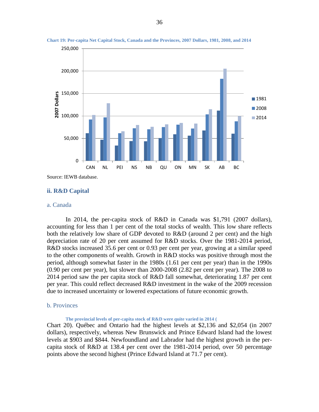

**Chart 19: Per-capita Net Capital Stock, Canada and the Provinces, 2007 Dollars, 1981, 2008, and 2014**

#### **ii. R&D Capital**

#### a. Canada

In 2014, the per-capita stock of R&D in Canada was \$1,791 (2007 dollars), accounting for less than 1 per cent of the total stocks of wealth. This low share reflects both the relatively low share of GDP devoted to R&D (around 2 per cent) and the high depreciation rate of 20 per cent assumed for R&D stocks. Over the 1981-2014 period, R&D stocks increased 35.6 per cent or 0.93 per cent per year, growing at a similar speed to the other components of wealth. Growth in R&D stocks was positive through most the period, although somewhat faster in the 1980s (1.61 per cent per year) than in the 1990s (0.90 per cent per year), but slower than 2000-2008 (2.82 per cent per year). The 2008 to 2014 period saw the per capita stock of R&D fall somewhat, deteriorating 1.87 per cent per year. This could reflect decreased R&D investment in the wake of the 2009 recession due to increased uncertainty or lowered expectations of future economic growth.

# b. Provinces

**The provincial levels of per-capita stock of R&D were quite varied in 2014 [\(](#page-37-0)** [Chart 20\)](#page-37-0). Québec and Ontario had the highest levels at \$2,136 and \$2,054 (in 2007 dollars), respectively, whereas New Brunswick and Prince Edward Island had the lowest levels at \$903 and \$844. Newfoundland and Labrador had the highest growth in the percapita stock of R&D at 138.4 per cent over the 1981-2014 period, over 50 percentage points above the second highest (Prince Edward Island at 71.7 per cent).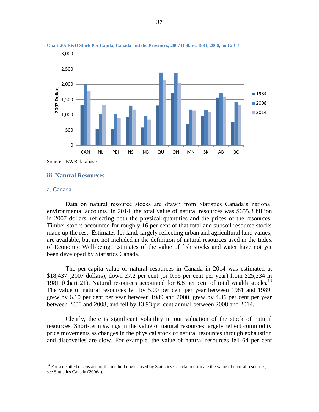

<span id="page-37-0"></span>

## **iii. Natural Resources**

#### a. Canada

 $\overline{a}$ 

Data on natural resource stocks are drawn from Statistics Canada's national environmental accounts. In 2014, the total value of natural resources was \$655.3 billion in 2007 dollars, reflecting both the physical quantities and the prices of the resources. Timber stocks accounted for roughly 16 per cent of that total and subsoil resource stocks made up the rest. Estimates for land, largely reflecting urban and agricultural land values, are available, but are not included in the definition of natural resources used in the Index of Economic Well-being. Estimates of the value of fish stocks and water have not yet been developed by Statistics Canada.

The per-capita value of natural resources in Canada in 2014 was estimated at \$18,437 (2007 dollars), down 27.2 per cent (or 0.96 per cent per year) from \$25,334 in 1981 [\(Chart 21\)](#page-39-0). Natural resources accounted for  $6.8$  per cent of total wealth stocks.<sup>13</sup> The value of natural resources fell by 5.00 per cent per year between 1981 and 1989, grew by 6.10 per cent per year between 1989 and 2000, grew by 4.36 per cent per year between 2000 and 2008, and fell by 13.93 per cent annual between 2008 and 2014.

Clearly, there is significant volatility in our valuation of the stock of natural resources. Short-term swings in the value of natural resources largely reflect commodity price movements as changes in the physical stock of natural resources through exhaustion and discoveries are slow. For example, the value of natural resources fell 64 per cent

 $13$  For a detailed discussion of the methodologies used by Statistics Canada to estimate the value of natural resources, see Statistics Canada (2006a).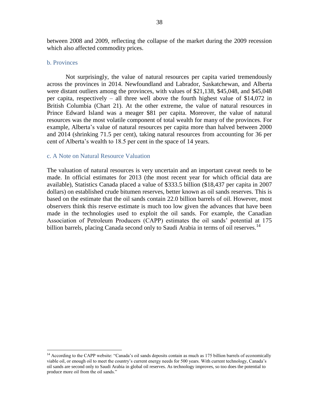between 2008 and 2009, reflecting the collapse of the market during the 2009 recession which also affected commodity prices.

#### b. Provinces

 $\overline{a}$ 

Not surprisingly, the value of natural resources per capita varied tremendously across the provinces in 2014. Newfoundland and Labrador, Saskatchewan, and Alberta were distant outliers among the provinces, with values of \$21,138, \$45,048, and \$45,048 per capita, respectively – all three well above the fourth highest value of \$14,072 in British Columbia [\(Chart 21\)](#page-39-0). At the other extreme, the value of natural resources in Prince Edward Island was a meager \$81 per capita. Moreover, the value of natural resources was the most volatile component of total wealth for many of the provinces. For example, Alberta's value of natural resources per capita more than halved between 2000 and 2014 (shrinking 71.5 per cent), taking natural resources from accounting for 36 per cent of Alberta's wealth to 18.5 per cent in the space of 14 years.

# c. A Note on Natural Resource Valuation

The valuation of natural resources is very uncertain and an important caveat needs to be made. In official estimates for 2013 (the most recent year for which official data are available), Statistics Canada placed a value of \$333.5 billion (\$18,437 per capita in 2007 dollars) on established crude bitumen reserves, better known as oil sands reserves. This is based on the estimate that the oil sands contain 22.0 billion barrels of oil. However, most observers think this reserve estimate is much too low given the advances that have been made in the technologies used to exploit the oil sands. For example, the Canadian Association of Petroleum Producers (CAPP) estimates the oil sands' potential at 175 billion barrels, placing Canada second only to Saudi Arabia in terms of oil reserves.<sup>14</sup>

<sup>&</sup>lt;sup>14</sup> According to the CAPP website: "Canada's oil sands deposits contain as much as 175 billion barrels of economically viable oil, or enough oil to meet the country's current energy needs for 500 years. With current technology, Canada's oil sands are second only to Saudi Arabia in global oil reserves. As technology improves, so too does the potential to produce more oil from the oil sands."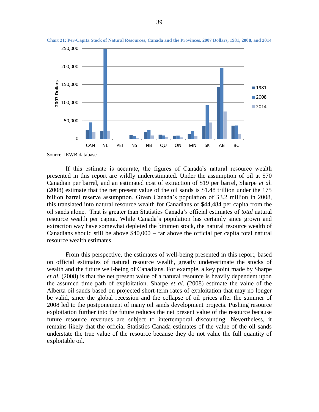

<span id="page-39-0"></span>**Chart 21: Per-Capita Stock of Natural Resources, Canada and the Provinces, 2007 Dollars, 1981, 2008, and 2014**

If this estimate is accurate, the figures of Canada's natural resource wealth presented in this report are wildly underestimated. Under the assumption of oil at \$70 Canadian per barrel, and an estimated cost of extraction of \$19 per barrel, Sharpe *et al.* (2008) estimate that the net present value of the oil sands is \$1.48 trillion under the 175 billion barrel reserve assumption. Given Canada's population of 33.2 million in 2008, this translated into natural resource wealth for Canadians of \$44,484 per capita from the oil sands alone. That is greater than Statistics Canada's official estimates of *total* natural resource wealth per capita. While Canada's population has certainly since grown and extraction way have somewhat depleted the bitumen stock, the natural resource wealth of Canadians should still be above \$40,000 – far above the official per capita total natural resource wealth estimates.

From this perspective, the estimates of well-being presented in this report, based on official estimates of natural resource wealth, greatly underestimate the stocks of wealth and the future well-being of Canadians. For example, a key point made by Sharpe *et al.* (2008) is that the net present value of a natural resource is heavily dependent upon the assumed time path of exploitation. Sharpe *et al.* (2008) estimate the value of the Alberta oil sands based on projected short-term rates of exploitation that may no longer be valid, since the global recession and the collapse of oil prices after the summer of 2008 led to the postponement of many oil sands development projects. Pushing resource exploitation further into the future reduces the net present value of the resource because future resource revenues are subject to intertemporal discounting. Nevertheless, it remains likely that the official Statistics Canada estimates of the value of the oil sands understate the true value of the resource because they do not value the full quantity of exploitable oil.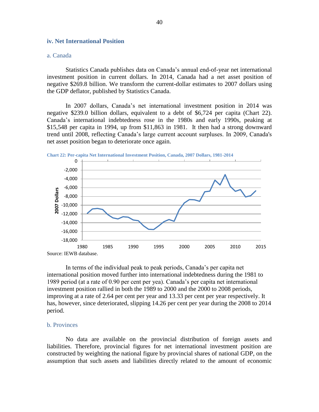# **iv. Net International Position**

# a. Canada

Statistics Canada publishes data on Canada's annual end-of-year net international investment position in current dollars. In 2014, Canada had a net asset position of negative \$269.8 billion. We transform the current-dollar estimates to 2007 dollars using the GDP deflator, published by Statistics Canada.

In 2007 dollars, Canada's net international investment position in 2014 was negative \$239.0 billion dollars, equivalent to a debt of \$6,724 per capita [\(Chart 22\)](#page-40-0). Canada's international indebtedness rose in the 1980s and early 1990s, peaking at \$15,548 per capita in 1994, up from \$11,863 in 1981. It then had a strong downward trend until 2008, reflecting Canada's large current account surpluses. In 2009, Canada's net asset position began to deteriorate once again.

<span id="page-40-0"></span>



In terms of the individual peak to peak periods, Canada's per capita net international position moved further into international indebtedness during the 1981 to 1989 period (at a rate of 0.90 per cent per yea). Canada's per capita net international investment position rallied in both the 1989 to 2000 and the 2000 to 2008 periods, improving at a rate of 2.64 per cent per year and 13.33 per cent per year respectively. It has, however, since deteriorated, slipping 14.26 per cent per year during the 2008 to 2014 period.

# b. Provinces

No data are available on the provincial distribution of foreign assets and liabilities. Therefore, provincial figures for net international investment position are constructed by weighting the national figure by provincial shares of national GDP, on the assumption that such assets and liabilities directly related to the amount of economic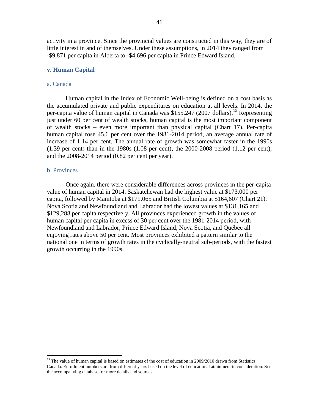activity in a province. Since the provincial values are constructed in this way, they are of little interest in and of themselves. Under these assumptions, in 2014 they ranged from -\$9,871 per capita in Alberta to -\$4,696 per capita in Prince Edward Island.

# **v. Human Capital**

# a. Canada

Human capital in the Index of Economic Well-being is defined on a cost basis as the accumulated private and public expenditures on education at all levels. In 2014, the per-capita value of human capital in Canada was \$155,247 (2007 dollars).<sup>15</sup> Representing just under 60 per cent of wealth stocks, human capital is the most important component of wealth stocks – even more important than physical capital [\(Chart 17\)](#page-33-0). Per-capita human capital rose 45.6 per cent over the 1981-2014 period, an average annual rate of increase of 1.14 per cent. The annual rate of growth was somewhat faster in the 1990s (1.39 per cent) than in the 1980s (1.08 per cent), the 2000-2008 period (1.12 per cent), and the 2008-2014 period (0.82 per cent per year).

# b. Provinces

 $\overline{a}$ 

Once again, there were considerable differences across provinces in the per-capita value of human capital in 2014. Saskatchewan had the highest value at \$173,000 per capita, followed by Manitoba at \$171,065 and British Columbia at \$164,607 (Chart 21). Nova Scotia and Newfoundland and Labrador had the lowest values at \$131,165 and \$129,288 per capita respectively. All provinces experienced growth in the values of human capital per capita in excess of 30 per cent over the 1981-2014 period, with Newfoundland and Labrador, Prince Edward Island, Nova Scotia, and Québec all enjoying rates above 50 per cent. Most provinces exhibited a pattern similar to the national one in terms of growth rates in the cyclically-neutral sub-periods, with the fastest growth occurring in the 1990s.

<sup>&</sup>lt;sup>15</sup> The value of human capital is based on estimates of the cost of education in 2009/2010 drawn from Statistics Canada. Enrollment numbers are from different years based on the level of educational attainment in consideration. See the accompanying database for more details and sources.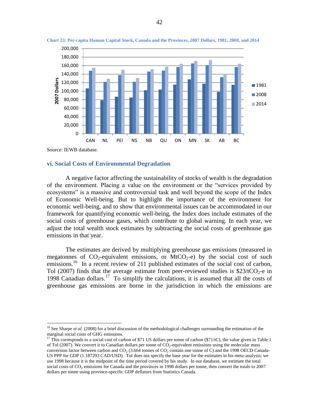



 $\overline{a}$ 

#### **vi. Social Costs of Environmental Degradation**

A negative factor affecting the sustainability of stocks of wealth is the degradation of the environment. Placing a value on the environment or the "services provided by ecosystems" is a massive and controversial task and well beyond the scope of the Index of Economic Well-being. But to highlight the importance of the environment for economic well-being, and to show that environmental issues can be accommodated in our framework for quantifying economic well-being, the Index does include estimates of the social costs of greenhouse gases, which contribute to global warning. In each year, we adjust the total wealth stock estimates by subtracting the social costs of greenhouse gas emissions in that year.

The estimates are derived by multiplying greenhouse gas emissions (measured in megatonnes of  $CO_2$ -equivalent emissions, or MtCO<sub>2</sub>-e) by the social cost of such emissions.<sup>16</sup> In a recent review of 211 published estimates of the social cost of carbon, Tol (2007) finds that the average estimate from peer-reviewed studies is  $$23/tCO<sub>2</sub>$ -e in 1998 Canadian dollars.<sup>17</sup> To simplify the calculations, it is assumed that all the costs of greenhouse gas emissions are borne in the jurisdiction in which the emissions are

<sup>&</sup>lt;sup>16</sup> See Sharpe *et al.* (2008) for a brief discussion of the methodological challenges surrounding the estimation of the marginal social costs of GHG emissions.

<sup>&</sup>lt;sup>17</sup> This corresponds to a social cost of carbon of \$71 US dollars per tonne of carbon (\$71/tC), the value given in Table 1 of Tol (2007). We convert it to Canadian dollars per tonne of  $CO_2$ -equivalent emissions using the molecular mass conversion factor between carbon and  $CO_2$  (3.664 tonnes of  $CO_2$  contain one tonne of C) and the 1998 OECD Canada-US PPP for GDP (1.187293 CAD/USD). Tol does not specify the base year for the estimates in his meta-analysis; we use 1998 because it is the midpoint of the time period covered by his study. In our database, we estimate the total social costs of  $CO<sub>2</sub>$  emissions for Canada and the provinces in 1998 dollars per tonne, then convert the totals to 2007 dollars per tonne using province-specific GDP deflators from Statistics Canada.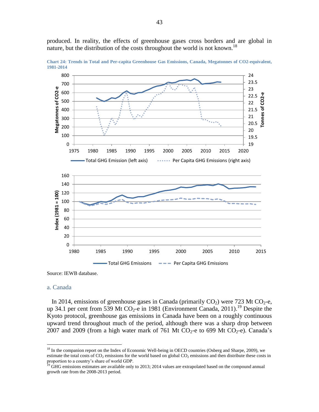produced. In reality, the effects of greenhouse gases cross borders and are global in nature, but the distribution of the costs throughout the world is not known.<sup>18</sup>



<span id="page-43-0"></span>**Chart 24: Trends in Total and Per-capita Greenhouse Gas Emissions, Canada, Megatonnes of CO2-equivalent, 1981-2014**

Source: IEWB database.

#### a. Canada

 $\overline{a}$ 

In 2014, emissions of greenhouse gases in Canada (primarily  $CO<sub>2</sub>$ ) were 723 Mt  $CO<sub>2</sub>$ -e, up 34.1 per cent from 539 Mt CO<sub>2</sub>-e in 1981 (Environment Canada, 2011).<sup>19</sup> Despite the Kyoto protocol, greenhouse gas emissions in Canada have been on a roughly continuous upward trend throughout much of the period, although there was a sharp drop between 2007 and 2009 (from a high water mark of 761 Mt CO<sub>2</sub>-e to 699 Mt CO<sub>2</sub>-e). Canada's

<sup>&</sup>lt;sup>18</sup> In the companion report on the Index of Economic Well-being in OECD countries (Osberg and Sharpe, 2009), we estimate the total costs of  $CO<sub>2</sub>$  emissions for the world based on global  $CO<sub>2</sub>$  emissions and then distribute these costs in proportion to a country's share of world GDP.

<sup>&</sup>lt;sup>19</sup> GHG emissions estimates are available only to 2013; 2014 values are extrapolated based on the compound annual growth rate from the 2008-2013 period.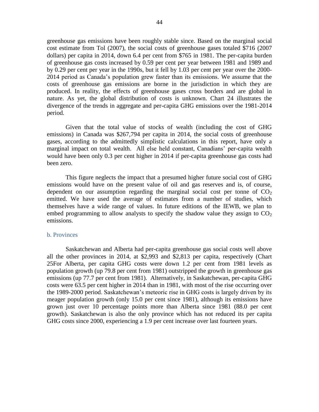greenhouse gas emissions have been roughly stable since. Based on the marginal social cost estimate from Tol (2007), the social costs of greenhouse gases totaled \$716 (2007 dollars) per capita in 2014, down 6.4 per cent from \$765 in 1981. The per-capita burden of greenhouse gas costs increased by 0.59 per cent per year between 1981 and 1989 and by 0.29 per cent per year in the 1990s, but it fell by 1.03 per cent per year over the 2000- 2014 period as Canada's population grew faster than its emissions. We assume that the costs of greenhouse gas emissions are borne in the jurisdiction in which they are produced. In reality, the effects of greenhouse gases cross borders and are global in nature. As yet, the global distribution of costs is unknown. [Chart 24](#page-43-0) illustrates the divergence of the trends in aggregate and per-capita GHG emissions over the 1981-2014 period.

Given that the total value of stocks of wealth (including the cost of GHG emissions) in Canada was \$267,794 per capita in 2014, the social costs of greenhouse gases, according to the admittedly simplistic calculations in this report, have only a marginal impact on total wealth. All else held constant, Canadians' per-capita wealth would have been only 0.3 per cent higher in 2014 if per-capita greenhouse gas costs had been zero.

This figure neglects the impact that a presumed higher future social cost of GHG emissions would have on the present value of oil and gas reserves and is, of course, dependent on our assumption regarding the marginal social cost per tonne of  $CO<sub>2</sub>$ emitted. We have used the average of estimates from a number of studies, which themselves have a wide range of values. In future editions of the IEWB, we plan to embed programming to allow analysts to specify the shadow value they assign to  $CO<sub>2</sub>$ emissions.

#### b. Provinces

Saskatchewan and Alberta had per-capita greenhouse gas social costs well above all the other provinces in 2014, at \$2,993 and \$2,813 per capita, respectively [\(Chart](#page-45-0)  [25F](#page-45-0)or Alberta, per capita GHG costs were down 1.2 per cent from 1981 levels as population growth (up 79.8 per cent from 1981) outstripped the growth in greenhouse gas emissions (up 77.7 per cent from 1981). Alternatively, in Saskatchewan, per-capita GHG costs were 63.5 per cent higher in 2014 than in 1981, with most of the rise occurring over the 1989-2000 period. Saskatchewan's meteoric rise in GHG costs is largely driven by its meager population growth (only 15.0 per cent since 1981), although its emissions have grown just over 10 percentage points more than Alberta since 1981 (88.0 per cent growth). Saskatchewan is also the only province which has not reduced its per capita GHG costs since 2000, experiencing a 1.9 per cent increase over last fourteen years.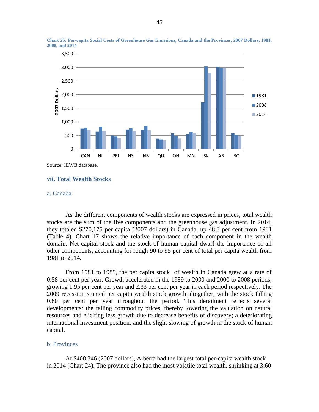

<span id="page-45-0"></span>**Chart 25: Per-capita Social Costs of Greenhouse Gas Emissions, Canada and the Provinces, 2007 Dollars, 1981, 2008, and 2014**

Source: IEWB database.

# **vii. Total Wealth Stocks**

# a. Canada

As the different components of wealth stocks are expressed in prices, total wealth stocks are the sum of the five components and the greenhouse gas adjustment. In 2014, they totaled \$270,175 per capita (2007 dollars) in Canada, up 48.3 per cent from 1981 (Table 4). [Chart 17](#page-33-0) shows the relative importance of each component in the wealth domain. Net capital stock and the stock of human capital dwarf the importance of all other components, accounting for rough 90 to 95 per cent of total per capita wealth from 1981 to 2014.

From 1981 to 1989, the per capita stock of wealth in Canada grew at a rate of 0.58 per cent per year. Growth accelerated in the 1989 to 2000 and 2000 to 2008 periods, growing 1.95 per cent per year and 2.33 per cent per year in each period respectively. The 2009 recession stunted per capita wealth stock growth altogether, with the stock falling 0.80 per cent per year throughout the period. This derailment reflects several developments: the falling commodity prices, thereby lowering the valuation on natural resources and eliciting less growth due to decrease benefits of discovery; a deteriorating international investment position; and the slight slowing of growth in the stock of human capital.

#### b. Provinces

At \$408,346 (2007 dollars), Alberta had the largest total per-capita wealth stock in 2014 (Chart 24). The province also had the most volatile total wealth, shrinking at 3.60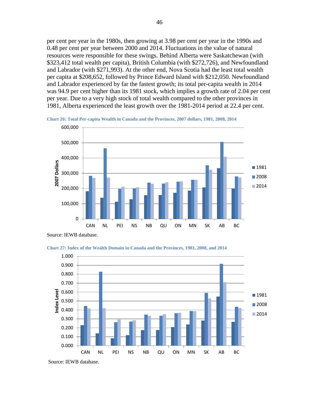per cent per year in the 1980s, then growing at 3.98 per cent per year in the 1990s and 0.48 per cent per year between 2000 and 2014. Fluctuations in the value of natural resources were responsible for these swings. Behind Alberta were Saskatchewan (with \$323,412 total wealth per capita), British Columbia (with \$272,726), and Newfoundland and Labrador (with \$271,993). At the other end, Nova Scotia had the least total wealth per capita at \$208,652, followed by Prince Edward Island with \$212,050. Newfoundland and Labrador experienced by far the fastest growth; its total per-capita wealth in 2014 was 94.9 per cent higher than its 1981 stock, which implies a growth rate of 2.04 per cent per year. Due to a very high stock of total wealth compared to the other provinces in 1981, Alberta experienced the least growth over the 1981-2014 period at 22.4 per cent.



**Chart 26: Total Per-capita Wealth in Canada and the Provinces, 2007 dollars, 1981, 2008, 2014**

Source: IEWB database.





Source: IEWB database.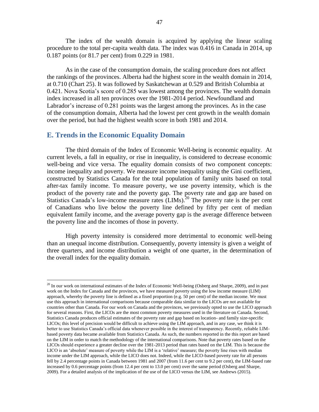The index of the wealth domain is acquired by applying the linear scaling procedure to the total per-capita wealth data. The index was 0.416 in Canada in 2014, up 0.187 points (or 81.7 per cent) from 0.229 in 1981.

As in the case of the consumption domain, the scaling procedure does not affect the rankings of the provinces. Alberta had the highest score in the wealth domain in 2014, at 0.710 (Chart 25). It was followed by Saskatchewan at 0.529 and British Columbia at 0.421. Nova Scotia's score of 0.285 was lowest among the provinces. The wealth domain index increased in all ten provinces over the 1981-2014 period. Newfoundland and Labrador's increase of 0.281 points was the largest among the provinces. As in the case of the consumption domain, Alberta had the lowest per cent growth in the wealth domain over the period, but had the highest wealth score in both 1981 and 2014.

# **E. Trends in the Economic Equality Domain**

 $\overline{a}$ 

The third domain of the Index of Economic Well-being is economic equality. At current levels, a fall in equality, or rise in inequality, is considered to decrease economic well-being and vice versa. The equality domain consists of two component concepts: income inequality and poverty. We measure income inequality using the Gini coefficient, constructed by Statistics Canada for the total population of family units based on total after-tax family income. To measure poverty, we use poverty intensity, which is the product of the poverty rate and the poverty gap. The poverty rate and gap are based on Statistics Canada's low-income measure rates (LIMs).<sup>20</sup> The poverty rate is the per cent of Canadians who live below the poverty line defined by fifty per cent of median equivalent family income, and the average poverty gap is the average difference between the poverty line and the incomes of those in poverty.

High poverty intensity is considered more detrimental to economic well-being than an unequal income distribution. Consequently, poverty intensity is given a weight of three quarters, and income distribution a weight of one quarter, in the determination of the overall index for the equality domain.

 $^{20}$  In our work on international estimates of the Index of Economic Well-being (Osberg and Sharpe, 2009), and in past work on the Index for Canada and the provinces, we have measured poverty using the low income measure (LIM) approach, whereby the poverty line is defined as a fixed proportion (e.g. 50 per cent) of the median income. We must use this approach in international comparisons because comparable data similar to the LICOs are not available for countries other than Canada. For our work on Canada and the provinces, we previously opted to use the LICO approach for several reasons. First, the LICOs are the most common poverty measures used in the literature on Canada. Second, Statistics Canada produces official estimates of the poverty rate and gap based on location- and family size-specific LICOs; this level of precision would be difficult to achieve using the LIM approach, and in any case, we think it is better to use Statistics Canada's official data whenever possible in the interest of transparency. Recently, reliable LIMbased poverty data became available from Statistics Canada. As such, the numbers reported in the this report are based on the LIM in order to match the methodology of the international comparisons. Note that poverty rates based on the LICOs should experience a greater decline over the 1981-2013 period than rates based on the LIM. This is because the LICO is an 'absolute' measure of poverty while the LIM is a 'relative' measure; the poverty line rises with median income under the LIM approach, while the LICO does not. Indeed, while the LICO-based poverty rate for all persons fell by 2.4 percentage points in Canada between 1981 and 2007 (from 11.6 per cent to 9.2 per cent), the LIM-based rate increased by 0.6 percentage points (from 12.4 per cent to 13.0 per cent) over the same period (Osberg and Sharpe, 2009). For a detailed analysis of the implication of the use of the LICO versus the LIM, see Andrews (2015).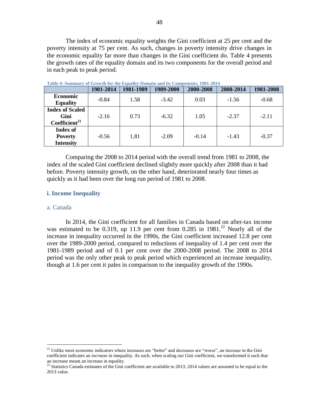The index of economic equality weights the Gini coefficient at 25 per cent and the poverty intensity at 75 per cent. As such, changes in poverty intensity drive changes in the economic equality far more than changes in the Gini coefficient do. [Table 4](#page-48-0) presents the growth rates of the equality domain and its two components for the overall period and in each peak to peak period.

| A WAYAY II MAAAAAANAA Y<br><u>VI VIIVHAILUD IVI VIIV IJMMMMIN</u><br>as valualle maine and coulably valuality. |           |           |           |           |           |           |  |
|----------------------------------------------------------------------------------------------------------------|-----------|-----------|-----------|-----------|-----------|-----------|--|
|                                                                                                                | 1981-2014 | 1981-1989 | 1989-2000 | 2000-2008 | 2008-2014 | 1981-2008 |  |
| <b>Economic</b><br><b>Equality</b>                                                                             | $-0.84$   | 1.58      | $-3.42$   | 0.03      | $-1.56$   | $-0.68$   |  |
| <b>Index of Scaled</b><br>Gini<br>Coefficient <sup>21</sup>                                                    | $-2.16$   | 0.73      | $-6.32$   | 1.05      | $-2.37$   | $-2.11$   |  |
| <b>Index of</b><br><b>Poverty</b><br><b>Intensity</b>                                                          | $-0.56$   | 1.81      | $-2.09$   | $-0.14$   | $-1.43$   | $-0.37$   |  |

<span id="page-48-0"></span>**Table 4: Summary of Growth for the Equality Domain and its Components, 1981-2014**

Comparing the 2008 to 2014 period with the overall trend from 1981 to 2008, the index of the scaled Gini coefficient declined slightly more quickly after 2008 than it had before. Poverty intensity growth, on the other hand, deteriorated nearly four times as quickly as it had been over the long run period of 1981 to 2008.

#### **i. Income Inequality**

#### a. Canada

 $\overline{a}$ 

In 2014, the Gini coefficient for all families in Canada based on after-tax income was estimated to be 0.319, up 11.9 per cent from  $0.285$  in  $1981<sup>22</sup>$  Nearly all of the increase in inequality occurred in the 1990s, the Gini coefficient increased 12.8 per cent over the 1989-2000 period, compared to reductions of inequality of 1.4 per cent over the 1981-1989 period and of 0.1 per cent over the 2000-2008 period. The 2008 to 2014 period was the only other peak to peak period which experienced an increase inequality, though at 1.6 per cent it pales in comparison to the inequality growth of the 1990s.

<sup>&</sup>lt;sup>21</sup> Unlike most economic indicators where increases are "better" and decreases are "worse", an increase in the Gini coefficient indicates an *increase* in inequality. As such, when scaling our Gini coefficient, we transformed it such that an increase meant an increase in equality.

<sup>&</sup>lt;sup>22</sup> Statistics Canada estimates of the Gini coefficient are available to 2013; 2014 values are assumed to be equal to the 2013 value.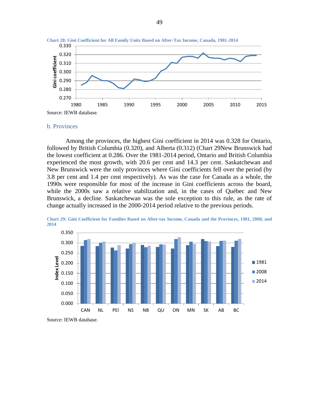



#### b. Provinces

Among the provinces, the highest Gini coefficient in 2014 was 0.328 for Ontario, followed by British Columbia (0.320), and Alberta (0.312) [\(Chart 29N](#page-49-0)ew Brunswick had the lowest coefficient at 0.286. Over the 1981-2014 period, Ontario and British Columbia experienced the most growth, with 20.6 per cent and 14.3 per cent. Saskatchewan and New Brunswick were the only provinces where Gini coefficients fell over the period (by 3.8 per cent and 1.4 per cent respectively). As was the case for Canada as a whole, the 1990s were responsible for most of the increase in Gini coefficients across the board, while the 2000s saw a relative stabilization and, in the cases of Québec and New Brunswick, a decline. Saskatchewan was the sole exception to this rule, as the rate of change actually increased in the 2000-2014 period relative to the previous periods.



<span id="page-49-0"></span>**Chart 29: Gini Coefficient for Families Based on After-tax Income, Canada and the Provinces, 1981, 2008, and 2014**

Source: IEWB database.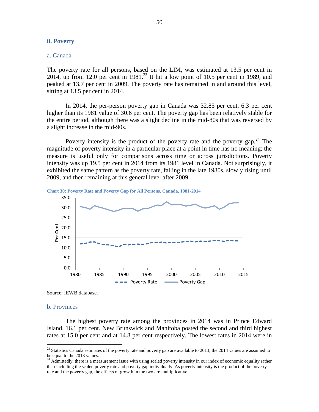# **ii. Poverty**

# a. Canada

The poverty rate for all persons, based on the LIM, was estimated at 13.5 per cent in 2014, up from 12.0 per cent in  $1981<sup>23</sup>$  It hit a low point of 10.5 per cent in 1989, and peaked at 13.7 per cent in 2009. The poverty rate has remained in and around this level, sitting at 13.5 per cent in 2014.

In 2014, the per-person poverty gap in Canada was 32.85 per cent, 6.3 per cent higher than its 1981 value of 30.6 per cent. The poverty gap has been relatively stable for the entire period, although there was a slight decline in the mid-80s that was reversed by a slight increase in the mid-90s.

Poverty intensity is the product of the poverty rate and the poverty gap.<sup>24</sup> The magnitude of poverty intensity in a particular place at a point in time has no meaning; the measure is useful only for comparisons across time or across jurisdictions. Poverty intensity was up 19.5 per cent in 2014 from its 1981 level in Canada. Not surprisingly, it exhibited the same pattern as the poverty rate, falling in the late 1980s, slowly rising until 2009, and then remaining at this general level after 2009.





Source: IEWB database.

#### b. Provinces

 $\overline{a}$ 

The highest poverty rate among the provinces in 2014 was in Prince Edward Island, 16.1 per cent. New Brunswick and Manitoba posted the second and third highest rates at 15.0 per cent and at 14.8 per cent respectively. The lowest rates in 2014 were in

 $^{23}$  Statistics Canada estimates of the poverty rate and poverty gap are available to 2013; the 2014 values are assumed to be equal to the 2013 values.

<sup>24</sup> Admittedly, there is a measurement issue with using scaled poverty intensity in our index of economic equality rather than including the scaled poverty rate and poverty gap individually. As poverty intensity is the product of the poverty rate and the poverty gap, the effects of growth in the two are multiplicative.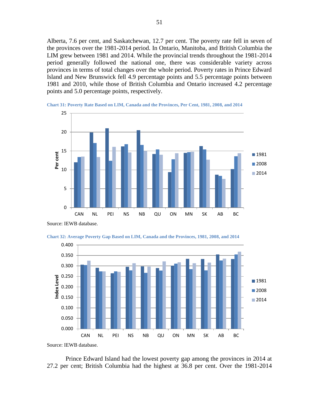Alberta, 7.6 per cent, and Saskatchewan, 12.7 per cent. The poverty rate fell in seven of the provinces over the 1981-2014 period. In Ontario, Manitoba, and British Columbia the LIM grew between 1981 and 2014. While the provincial trends throughout the 1981-2014 period generally followed the national one, there was considerable variety across provinces in terms of total changes over the whole period. Poverty rates in Prince Edward Island and New Brunswick fell 4.9 percentage points and 5.5 percentage points between 1981 and 2010, while those of British Columbia and Ontario increased 4.2 percentage points and 5.0 percentage points, respectively.





Source: IEWB database.





Prince Edward Island had the lowest poverty gap among the provinces in 2014 at 27.2 per cent; British Columbia had the highest at 36.8 per cent. Over the 1981-2014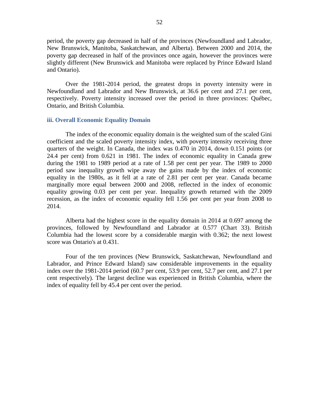period, the poverty gap decreased in half of the provinces (Newfoundland and Labrador, New Brunswick, Manitoba, Saskatchewan, and Alberta). Between 2000 and 2014, the poverty gap decreased in half of the provinces once again, however the provinces were slightly different (New Brunswick and Manitoba were replaced by Prince Edward Island and Ontario).

Over the 1981-2014 period, the greatest drops in poverty intensity were in Newfoundland and Labrador and New Brunswick, at 36.6 per cent and 27.1 per cent, respectively. Poverty intensity increased over the period in three provinces: Québec, Ontario, and British Columbia.

# **iii. Overall Economic Equality Domain**

The index of the economic equality domain is the weighted sum of the scaled Gini coefficient and the scaled poverty intensity index, with poverty intensity receiving three quarters of the weight. In Canada, the index was 0.470 in 2014, down 0.151 points (or 24.4 per cent) from 0.621 in 1981. The index of economic equality in Canada grew during the 1981 to 1989 period at a rate of 1.58 per cent per year. The 1989 to 2000 period saw inequality growth wipe away the gains made by the index of economic equality in the 1980s, as it fell at a rate of 2.81 per cent per year. Canada became marginally more equal between 2000 and 2008, reflected in the index of economic equality growing 0.03 per cent per year. Inequality growth returned with the 2009 recession, as the index of economic equality fell 1.56 per cent per year from 2008 to 2014.

Alberta had the highest score in the equality domain in 2014 at 0.697 among the provinces, followed by Newfoundland and Labrador at 0.577 [\(Chart 33\)](#page-53-0). British Columbia had the lowest score by a considerable margin with 0.362; the next lowest score was Ontario's at 0.431.

Four of the ten provinces (New Brunswick, Saskatchewan, Newfoundland and Labrador, and Prince Edward Island) saw considerable improvements in the equality index over the 1981-2014 period (60.7 per cent, 53.9 per cent, 52.7 per cent, and 27.1 per cent respectively). The largest decline was experienced in British Columbia, where the index of equality fell by 45.4 per cent over the period.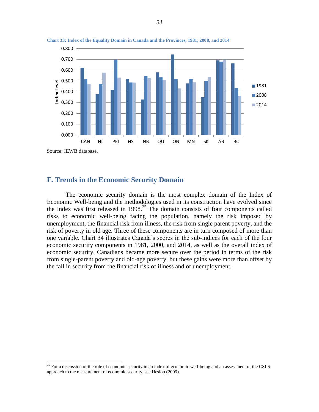

<span id="page-53-0"></span>**Chart 33: Index of the Equality Domain in Canada and the Provinces, 1981, 2008, and 2014**

**F. Trends in the Economic Security Domain** 

 $\overline{a}$ 

The economic security domain is the most complex domain of the Index of Economic Well-being and the methodologies used in its construction have evolved since the Index was first released in  $1998<sup>25</sup>$  The domain consists of four components called risks to economic well-being facing the population, namely the risk imposed by unemployment, the financial risk from illness, the risk from single parent poverty, and the risk of poverty in old age. Three of these components are in turn composed of more than one variable. [Chart 34](#page-54-0) illustrates Canada's scores in the sub-indices for each of the four economic security components in 1981, 2000, and 2014, as well as the overall index of economic security. Canadians became more secure over the period in terms of the risk from single-parent poverty and old-age poverty, but these gains were more than offset by the fall in security from the financial risk of illness and of unemployment.

<sup>&</sup>lt;sup>25</sup> For a discussion of the role of economic security in an index of economic well-being and an assessment of the CSLS approach to the measurement of economic security, see Heslop (2009).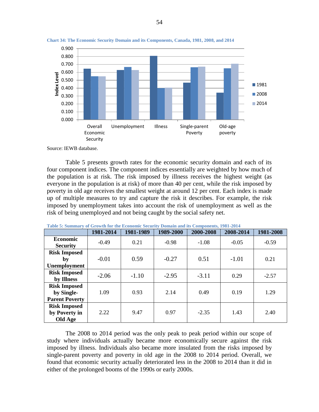

<span id="page-54-0"></span>**Chart 34: The Economic Security Domain and its Components, Canada, 1981, 2008, and 2014**

[Table 5](#page-54-1) presents growth rates for the economic security domain and each of its four component indices. The component indices essentially are weighted by how much of the population is at risk. The risk imposed by illness receives the highest weight (as everyone in the population is at risk) of more than 40 per cent, while the risk imposed by poverty in old age receives the smallest weight at around 12 per cent. Each index is made up of multiple measures to try and capture the risk it describes. For example, the risk imposed by unemployment takes into account the risk of unemployment as well as the risk of being unemployed and not being caught by the social safety net.

|                                                            | 1981-2014 | 1981-1989 | 1989-2000 | 2000-2008 | 2008-2014 | 1981-2008 |
|------------------------------------------------------------|-----------|-----------|-----------|-----------|-----------|-----------|
| <b>Economic</b><br><b>Security</b>                         | $-0.49$   | 0.21      | $-0.98$   | $-1.08$   | $-0.05$   | $-0.59$   |
| <b>Risk Imposed</b><br>by<br>Unemployment                  | $-0.01$   | 0.59      | $-0.27$   | 0.51      | $-1.01$   | 0.21      |
| <b>Risk Imposed</b><br>by Illness                          | $-2.06$   | $-1.10$   | $-2.95$   | $-3.11$   | 0.29      | $-2.57$   |
| <b>Risk Imposed</b><br>by Single-<br><b>Parent Poverty</b> | 1.09      | 0.93      | 2.14      | 0.49      | 0.19      | 1.29      |
| <b>Risk Imposed</b><br>by Poverty in<br>Old Age            | 2.22      | 9.47      | 0.97      | $-2.35$   | 1.43      | 2.40      |

<span id="page-54-1"></span>**Table 5: Summary of Growth for the Economic Security Domain and its Components, 1981-2014**

The 2008 to 2014 period was the only peak to peak period within our scope of study where individuals actually became more economically secure against the risk imposed by illness. Individuals also became more insulated from the risks imposed by single-parent poverty and poverty in old age in the 2008 to 2014 period. Overall, we found that economic security actually deteriorated less in the 2008 to 2014 than it did in either of the prolonged booms of the 1990s or early 2000s.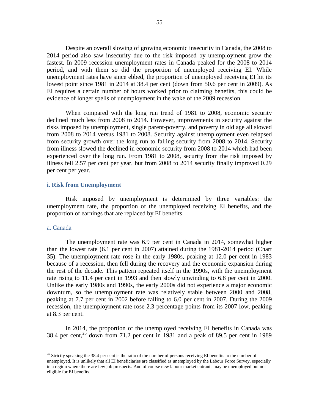Despite an overall slowing of growing economic insecurity in Canada, the 2008 to 2014 period also saw insecurity due to the risk imposed by unemployment grow the fastest. In 2009 recession unemployment rates in Canada peaked for the 2008 to 2014 period, and with them so did the proportion of unemployed receiving EI. While unemployment rates have since ebbed, the proportion of unemployed receiving EI hit its lowest point since 1981 in 2014 at 38.4 per cent (down from 50.6 per cent in 2009). As EI requires a certain number of hours worked prior to claiming benefits, this could be evidence of longer spells of unemployment in the wake of the 2009 recession.

When compared with the long run trend of 1981 to 2008, economic security declined much less from 2008 to 2014. However, improvements in security against the risks imposed by unemployment, single parent-poverty, and poverty in old age all slowed from 2008 to 2014 versus 1981 to 2008. Security against unemployment even relapsed from security growth over the long run to falling security from 2008 to 2014. Security from illness slowed the declined in economic security from 2008 to 2014 which had been experienced over the long run. From 1981 to 2008, security from the risk imposed by illness fell 2.57 per cent per year, but from 2008 to 2014 security finally improved 0.29 per cent per year.

#### **i. Risk from Unemployment**

Risk imposed by unemployment is determined by three variables: the unemployment rate, the proportion of the unemployed receiving EI benefits, and the proportion of earnings that are replaced by EI benefits.

#### a. Canada

 $\overline{a}$ 

The unemployment rate was 6.9 per cent in Canada in 2014, somewhat higher than the lowest rate (6.1 per cent in 2007) attained during the 1981-2014 period [\(Chart](#page-56-0)  [35\)](#page-56-0). The unemployment rate rose in the early 1980s, peaking at 12.0 per cent in 1983 because of a recession, then fell during the recovery and the economic expansion during the rest of the decade. This pattern repeated itself in the 1990s, with the unemployment rate rising to 11.4 per cent in 1993 and then slowly unwinding to 6.8 per cent in 2000. Unlike the early 1980s and 1990s, the early 2000s did not experience a major economic downturn, so the unemployment rate was relatively stable between 2000 and 2008, peaking at 7.7 per cent in 2002 before falling to 6.0 per cent in 2007. During the 2009 recession, the unemployment rate rose 2.3 percentage points from its 2007 low, peaking at 8.3 per cent.

In 2014, the proportion of the unemployed receiving EI benefits in Canada was  $38.4$  per cent,<sup>26</sup> down from 71.2 per cent in 1981 and a peak of 89.5 per cent in 1989

 $26$  Strictly speaking the 38.4 per cent is the ratio of the number of persons receiving EI benefits to the number of unemployed. It is unlikely that all EI beneficiaries are classified as unemployed by the Labour Force Survey, especially in a region where there are few job prospects. And of course new labour market entrants may be unemployed but not eligible for EI benefits.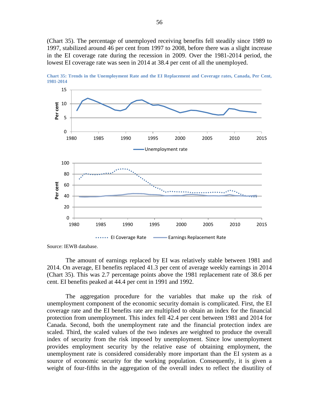[\(Chart 35\)](#page-56-0). The percentage of unemployed receiving benefits fell steadily since 1989 to 1997, stabilized around 46 per cent from 1997 to 2008, before there was a slight increase in the EI coverage rate during the recession in 2009. Over the 1981-2014 period, the lowest EI coverage rate was seen in 2014 at 38.4 per cent of all the unemployed.



<span id="page-56-0"></span>**Chart 35: Trends in the Unemployment Rate and the EI Replacement and Coverage rates, Canada, Per Cent, 1981-2014**

Source: IEWB database.

The amount of earnings replaced by EI was relatively stable between 1981 and 2014. On average, EI benefits replaced 41.3 per cent of average weekly earnings in 2014 [\(Chart 35\)](#page-56-0). This was 2.7 percentage points above the 1981 replacement rate of 38.6 per cent. EI benefits peaked at 44.4 per cent in 1991 and 1992.

The aggregation procedure for the variables that make up the risk of unemployment component of the economic security domain is complicated. First, the EI coverage rate and the EI benefits rate are multiplied to obtain an index for the financial protection from unemployment. This index fell 42.4 per cent between 1981 and 2014 for Canada. Second, both the unemployment rate and the financial protection index are scaled. Third, the scaled values of the two indexes are weighted to produce the overall index of security from the risk imposed by unemployment. Since low unemployment provides employment security by the relative ease of obtaining employment, the unemployment rate is considered considerably more important than the EI system as a source of economic security for the working population. Consequently, it is given a weight of four-fifths in the aggregation of the overall index to reflect the disutility of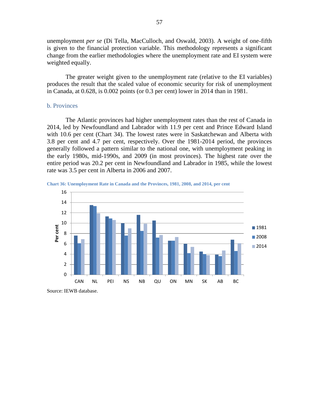unemployment *per se* (Di Tella, MacCulloch, and Oswald, 2003). A weight of one-fifth is given to the financial protection variable. This methodology represents a significant change from the earlier methodologies where the unemployment rate and EI system were weighted equally.

The greater weight given to the unemployment rate (relative to the EI variables) produces the result that the scaled value of economic security for risk of unemployment in Canada, at 0.628, is 0.002 points (or 0.3 per cent) lower in 2014 than in 1981.

# b. Provinces

The Atlantic provinces had higher unemployment rates than the rest of Canada in 2014, led by Newfoundland and Labrador with 11.9 per cent and Prince Edward Island with 10.6 per cent (Chart 34). The lowest rates were in Saskatchewan and Alberta with 3.8 per cent and 4.7 per cent, respectively. Over the 1981-2014 period, the provinces generally followed a pattern similar to the national one, with unemployment peaking in the early 1980s, mid-1990s, and 2009 (in most provinces). The highest rate over the entire period was 20.2 per cent in Newfoundland and Labrador in 1985, while the lowest rate was 3.5 per cent in Alberta in 2006 and 2007.





Source: IEWB database.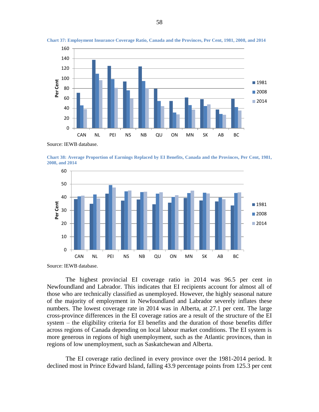

**Chart 37: Employment Insurance Coverage Ratio, Canada and the Provinces, Per Cent, 1981, 2008, and 2014**

<span id="page-58-0"></span>**Chart 38: Average Proportion of Earnings Replaced by EI Benefits, Canada and the Provinces, Per Cent, 1981, 2008, and 2014**



The highest provincial EI coverage ratio in 2014 was 96.5 per cent in Newfoundland and Labrador. This indicates that EI recipients account for almost all of those who are technically classified as unemployed. However, the highly seasonal nature of the majority of employment in Newfoundland and Labrador severely inflates these numbers. The lowest coverage rate in 2014 was in Alberta, at 27.1 per cent. The large cross-province differences in the EI coverage ratios are a result of the structure of the EI system – the eligibility criteria for EI benefits and the duration of those benefits differ across regions of Canada depending on local labour market conditions. The EI system is more generous in regions of high unemployment, such as the Atlantic provinces, than in regions of low unemployment, such as Saskatchewan and Alberta.

The EI coverage ratio declined in every province over the 1981-2014 period. It declined most in Prince Edward Island, falling 43.9 percentage points from 125.3 per cent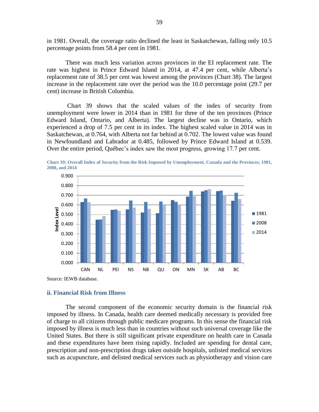in 1981. Overall, the coverage ratio declined the least in Saskatchewan, falling only 10.5 percentage points from 58.4 per cent in 1981.

There was much less variation across provinces in the EI replacement rate. The rate was highest in Prince Edward Island in 2014, at 47.4 per cent, while Alberta's replacement rate of 38.5 per cent was lowest among the provinces [\(Chart 38\)](#page-58-0). The largest increase in the replacement rate over the period was the 10.0 percentage point (29.7 per cent) increase in British Columbia.

[Chart 39](#page-59-0) shows that the scaled values of the index of security from unemployment were lower in 2014 than in 1981 for three of the ten provinces (Prince Edward Island, Ontario, and Alberta). The largest decline was in Ontario, which experienced a drop of 7.5 per cent in its index. The highest scaled value in 2014 was in Saskatchewan, at 0.764, with Alberta not far behind at 0.702. The lowest value was found in Newfoundland and Labrador at 0.485, followed by Prince Edward Island at 0.539. Over the entire period, Québec's index saw the most progress, growing 17.7 per cent.

<span id="page-59-0"></span>**Chart 39: Overall Index of Security from the Risk Imposed by Unemployment, Canada and the Provinces, 1981, 2008, and 2014**



Source: IEWB database.

# **ii. Financial Risk from Illness**

The second component of the economic security domain is the financial risk imposed by illness. In Canada, health care deemed medically necessary is provided free of charge to all citizens through public medicare programs. In this sense the financial risk imposed by illness is much less than in countries without such universal coverage like the United States. But there is still significant private expenditure on health care in Canada and these expenditures have been rising rapidly. Included are spending for dental care, prescription and non-prescription drugs taken outside hospitals, unlisted medical services such as acupuncture, and delisted medical services such as physiotherapy and vision care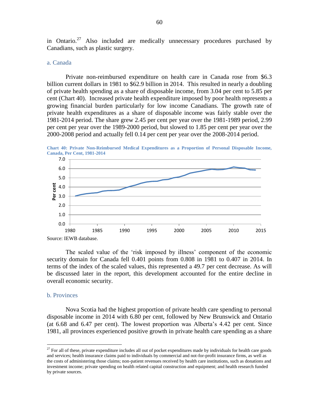in Ontario. $27$  Also included are medically unnecessary procedures purchased by Canadians, such as plastic surgery.

# a. Canada

Private non-reimbursed expenditure on health care in Canada rose from \$6.3 billion current dollars in 1981 to \$62.9 billion in 2014. This resulted in nearly a doubling of private health spending as a share of disposable income, from 3.04 per cent to 5.85 per cent [\(Chart 40\)](#page-60-0). Increased private health expenditure imposed by poor health represents a growing financial burden particularly for low income Canadians. The growth rate of private health expenditures as a share of disposable income was fairly stable over the 1981-2014 period. The share grew 2.45 per cent per year over the 1981-1989 period, 2.99 per cent per year over the 1989-2000 period, but slowed to 1.85 per cent per year over the 2000-2008 period and actually fell 0.14 per cent per year over the 2008-2014 period.

<span id="page-60-0"></span>**Chart 40: Private Non-Reimbursed Medical Expenditures as a Proportion of Personal Disposable Income, Canada, Per Cent, 1981-2014**



Source: IEWB database.

The scaled value of the 'risk imposed by illness' component of the economic security domain for Canada fell 0.401 points from 0.808 in 1981 to 0.407 in 2014. In terms of the index of the scaled values, this represented a 49.7 per cent decrease. As will be discussed later in the report, this development accounted for the entire decline in overall economic security.

#### b. Provinces

 $\overline{a}$ 

Nova Scotia had the highest proportion of private health care spending to personal disposable income in 2014 with 6.80 per cent, followed by New Brunswick and Ontario (at 6.68 and 6.47 per cent). The lowest proportion was Alberta's 4.42 per cent. Since 1981, all provinces experienced positive growth in private health care spending as a share

 $27$  For all of these, private expenditure includes all out of pocket expenditures made by individuals for health care goods and services; health insurance claims paid to individuals by commercial and not-for-profit insurance firms, as well as the costs of administering those claims; non-patient revenues received by health care institutions, such as donations and investment income; private spending on health related capital construction and equipment; and health research funded by private sources.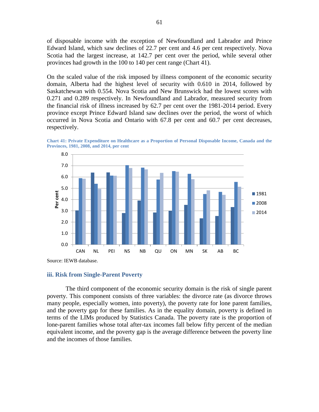of disposable income with the exception of Newfoundland and Labrador and Prince Edward Island, which saw declines of 22.7 per cent and 4.6 per cent respectively. Nova Scotia had the largest increase, at 142.7 per cent over the period, while several other provinces had growth in the 100 to 140 per cent range [\(Chart 41\)](#page-61-0).

On the scaled value of the risk imposed by illness component of the economic security domain, Alberta had the highest level of security with 0.610 in 2014, followed by Saskatchewan with 0.554. Nova Scotia and New Brunswick had the lowest scores with 0.271 and 0.289 respectively. In Newfoundland and Labrador, measured security from the financial risk of illness increased by 62.7 per cent over the 1981-2014 period. Every province except Prince Edward Island saw declines over the period, the worst of which occurred in Nova Scotia and Ontario with 67.8 per cent and 60.7 per cent decreases, respectively.

<span id="page-61-0"></span>



#### **iii. Risk from Single-Parent Poverty**

The third component of the economic security domain is the risk of single parent poverty. This component consists of three variables: the divorce rate (as divorce throws many people, especially women, into poverty), the poverty rate for lone parent families, and the poverty gap for these families. As in the equality domain, poverty is defined in terms of the LIMs produced by Statistics Canada. The poverty rate is the proportion of lone-parent families whose total after-tax incomes fall below fifty percent of the median equivalent income, and the poverty gap is the average difference between the poverty line and the incomes of those families.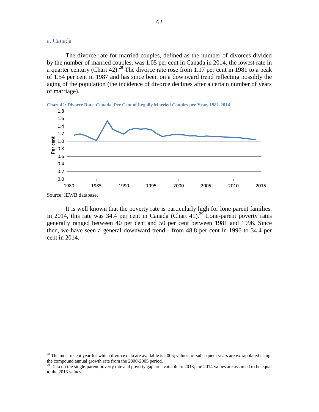# a. Canada

The divorce rate for married couples, defined as the number of divorces divided by the number of married couples, was 1.05 per cent in Canada in 2014, the lowest rate in a quarter century [\(Chart 42\)](#page-62-0).<sup>28</sup> The divorce rate rose from 1.17 per cent in 1981 to a peak of 1.54 per cent in 1987 and has since been on a downward trend reflecting possibly the aging of the population (the incidence of divorce declines after a certain number of years of marriage).

<span id="page-62-0"></span>

Source: IEWB database.

 $\overline{a}$ 

It is well known that the poverty rate is particularly high for lone parent families. In 2014, this rate was 34.4 per cent in Canada (Chart 41).<sup>29</sup> Lone-parent poverty rates generally ranged between 40 per cent and 50 per cent between 1981 and 1996. Since then, we have seen a general downward trend - from 48.8 per cent in 1996 to 34.4 per cent in 2014.

 $^{28}$  The most recent year for which divorce data are available is 2005; values for subsequent years are extrapolated using the compound annual growth rate from the 2000-2005 period.

 $^{29}$  Data on the single-parent poverty rate and poverty gap are available to 2013; the 2014 values are assumed to be equal to the 2013 values.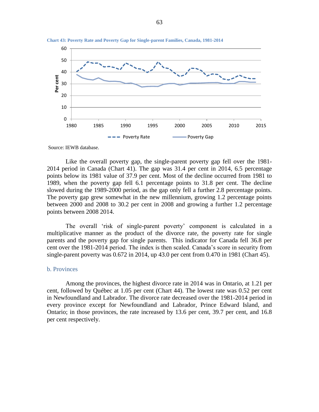

**Chart 43: Poverty Rate and Poverty Gap for Single-parent Families, Canada, 1981-2014**

Like the overall poverty gap, the single-parent poverty gap fell over the 1981- 2014 period in Canada (Chart 41). The gap was 31.4 per cent in 2014, 6.5 percentage points below its 1981 value of 37.9 per cent. Most of the decline occurred from 1981 to 1989, when the poverty gap fell 6.1 percentage points to 31.8 per cent. The decline slowed during the 1989-2000 period, as the gap only fell a further 2.8 percentage points. The poverty gap grew somewhat in the new millennium, growing 1.2 percentage points between 2000 and 2008 to 30.2 per cent in 2008 and growing a further 1.2 percentage points between 2008 2014.

The overall 'risk of single-parent poverty' component is calculated in a multiplicative manner as the product of the divorce rate, the poverty rate for single parents and the poverty gap for single parents. This indicator for Canada fell 36.8 per cent over the 1981-2014 period. The index is then scaled. Canada's score in security from single-parent poverty was 0.672 in 2014, up 43.0 per cent from 0.470 in 1981 (Chart 45).

# b. Provinces

Among the provinces, the highest divorce rate in 2014 was in Ontario, at 1.21 per cent, followed by Québec at 1.05 per cent [\(Chart 44\)](#page-64-0). The lowest rate was 0.52 per cent in Newfoundland and Labrador. The divorce rate decreased over the 1981-2014 period in every province except for Newfoundland and Labrador, Prince Edward Island, and Ontario; in those provinces, the rate increased by 13.6 per cent, 39.7 per cent, and 16.8 per cent respectively.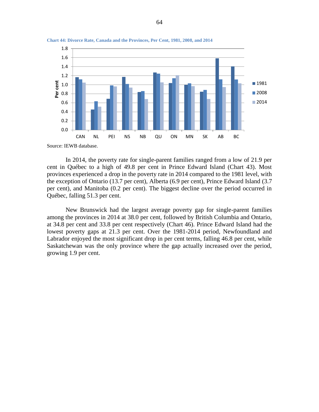

<span id="page-64-0"></span>**Chart 44: Divorce Rate, Canada and the Provinces, Per Cent, 1981, 2008, and 2014**

In 2014, the poverty rate for single-parent families ranged from a low of 21.9 per cent in Québec to a high of 49.8 per cent in Prince Edward Island (Chart 43). Most provinces experienced a drop in the poverty rate in 2014 compared to the 1981 level, with the exception of Ontario (13.7 per cent), Alberta (6.9 per cent), Prince Edward Island (3.7 per cent), and Manitoba (0.2 per cent). The biggest decline over the period occurred in Québec, falling 51.3 per cent.

New Brunswick had the largest average poverty gap for single-parent families among the provinces in 2014 at 38.0 per cent, followed by British Columbia and Ontario, at 34.8 per cent and 33.8 per cent respectively [\(Chart 46\)](#page-65-0). Prince Edward Island had the lowest poverty gaps at 21.3 per cent. Over the 1981-2014 period, Newfoundland and Labrador enjoyed the most significant drop in per cent terms, falling 46.8 per cent, while Saskatchewan was the only province where the gap actually increased over the period, growing 1.9 per cent.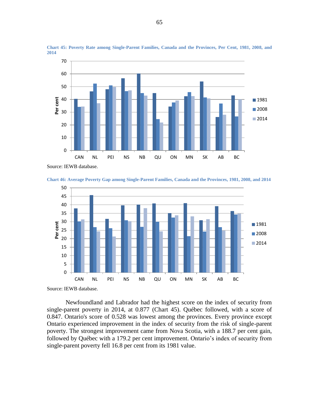

**Chart 45: Poverty Rate among Single-Parent Families, Canada and the Provinces, Per Cent, 1981, 2008, and**  

Source: IEWB database.

<span id="page-65-0"></span>



Source: IEWB database.

Newfoundland and Labrador had the highest score on the index of security from single-parent poverty in 2014, at 0.877 (Chart 45). Québec followed, with a score of 0.847. Ontario's score of 0.528 was lowest among the provinces. Every province except Ontario experienced improvement in the index of security from the risk of single-parent poverty. The strongest improvement came from Nova Scotia, with a 188.7 per cent gain, followed by Québec with a 179.2 per cent improvement. Ontario's index of security from single-parent poverty fell 16.8 per cent from its 1981 value.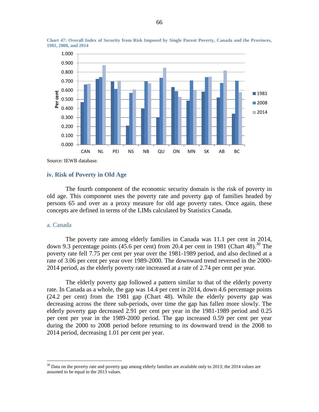

**Chart 47: Overall Index of Security from Risk Imposed by Single Parent Poverty, Canada and the Provinces, 1981, 2008, and 2014**

Source: IEWB database.

# **iv. Risk of Poverty in Old Age**

The fourth component of the economic security domain is the risk of poverty in old age. This component uses the poverty rate and poverty gap of families headed by persons 65 and over as a proxy measure for old age poverty rates. Once again, these concepts are defined in terms of the LIMs calculated by Statistics Canada.

#### a. Canada

 $\overline{a}$ 

The poverty rate among elderly families in Canada was 11.1 per cent in 2014, down 9.3 percentage points (45.6 per cent) from 20.4 per cent in 1981 [\(Chart 48\)](#page-67-0).<sup>30</sup> The poverty rate fell 7.75 per cent per year over the 1981-1989 period, and also declined at a rate of 3.06 per cent per year over 1989-2000. The downward trend reversed in the 2000- 2014 period, as the elderly poverty rate increased at a rate of 2.74 per cent per year.

The elderly poverty gap followed a pattern similar to that of the elderly poverty rate. In Canada as a whole, the gap was 14.4 per cent in 2014, down 4.6 percentage points (24.2 per cent) from the 1981 gap [\(Chart 48\)](#page-67-0). While the elderly poverty gap was decreasing across the three sub-periods, over time the gap has fallen more slowly. The elderly poverty gap decreased 2.91 per cent per year in the 1981-1989 period and 0.25 per cent per year in the 1989-2000 period. The gap increased 0.59 per cent per year during the 2000 to 2008 period before returning to its downward trend in the 2008 to 2014 period, decreasing 1.01 per cent per year.

 $30$  Data on the poverty rate and poverty gap among elderly families are available only to 2013; the 2014 values are assumed to be equal to the 2013 values.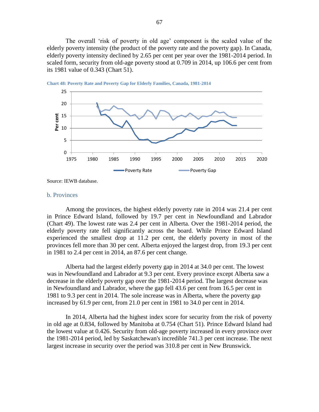The overall 'risk of poverty in old age' component is the scaled value of the elderly poverty intensity (the product of the poverty rate and the poverty gap). In Canada, elderly poverty intensity declined by 2.65 per cent per year over the 1981-2014 period. In scaled form, security from old-age poverty stood at 0.709 in 2014, up 106.6 per cent from its 1981 value of 0.343 [\(Chart 51\)](#page-69-0).



<span id="page-67-0"></span>**Chart 48: Poverty Rate and Poverty Gap for Elderly Families, Canada, 1981-2014**

Source: IEWB database.

#### b. Provinces

Among the provinces, the highest elderly poverty rate in 2014 was 21.4 per cent in Prince Edward Island, followed by 19.7 per cent in Newfoundland and Labrador [\(Chart 49\)](#page-68-0). The lowest rate was 2.4 per cent in Alberta. Over the 1981-2014 period, the elderly poverty rate fell significantly across the board. While Prince Edward Island experienced the smallest drop at 11.2 per cent, the elderly poverty in most of the provinces fell more than 30 per cent. Alberta enjoyed the largest drop, from 19.3 per cent in 1981 to 2.4 per cent in 2014, an 87.6 per cent change.

Alberta had the largest elderly poverty gap in 2014 at 34.0 per cent. The lowest was in Newfoundland and Labrador at 9.3 per cent. Every province except Alberta saw a decrease in the elderly poverty gap over the 1981-2014 period. The largest decrease was in Newfoundland and Labrador, where the gap fell 43.6 per cent from 16.5 per cent in 1981 to 9.3 per cent in 2014. The sole increase was in Alberta, where the poverty gap increased by 61.9 per cent, from 21.0 per cent in 1981 to 34.0 per cent in 2014.

In 2014, Alberta had the highest index score for security from the risk of poverty in old age at 0.834, followed by Manitoba at 0.754 [\(Chart 51\)](#page-69-0). Prince Edward Island had the lowest value at 0.426. Security from old-age poverty increased in every province over the 1981-2014 period, led by Saskatchewan's incredible 741.3 per cent increase. The next largest increase in security over the period was 310.8 per cent in New Brunswick.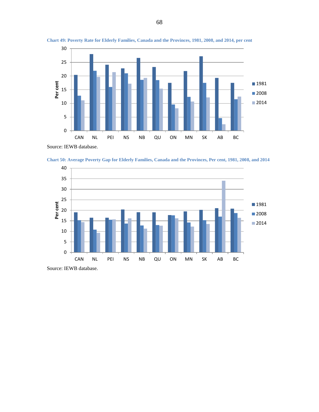

<span id="page-68-0"></span>**Chart 49: Poverty Rate for Elderly Families, Canada and the Provinces, 1981, 2008, and 2014, per cent**





Source: IEWB database.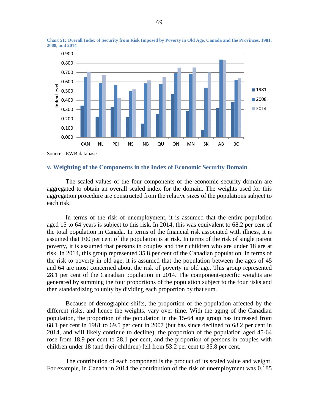

<span id="page-69-0"></span>**Chart 51: Overall Index of Security from Risk Imposed by Poverty in Old Age, Canada and the Provinces, 1981, 2008, and 2014**

Source: IEWB database.

# **v. Weighting of the Components in the Index of Economic Security Domain**

The scaled values of the four components of the economic security domain are aggregated to obtain an overall scaled index for the domain. The weights used for this aggregation procedure are constructed from the relative sizes of the populations subject to each risk.

In terms of the risk of unemployment, it is assumed that the entire population aged 15 to 64 years is subject to this risk. In 2014, this was equivalent to 68.2 per cent of the total population in Canada. In terms of the financial risk associated with illness, it is assumed that 100 per cent of the population is at risk. In terms of the risk of single parent poverty, it is assumed that persons in couples and their children who are under 18 are at risk. In 2014, this group represented 35.8 per cent of the Canadian population. In terms of the risk to poverty in old age, it is assumed that the population between the ages of 45 and 64 are most concerned about the risk of poverty in old age. This group represented 28.1 per cent of the Canadian population in 2014. The component-specific weights are generated by summing the four proportions of the population subject to the four risks and then standardizing to unity by dividing each proportion by that sum.

Because of demographic shifts, the proportion of the population affected by the different risks, and hence the weights, vary over time. With the aging of the Canadian population, the proportion of the population in the 15-64 age group has increased from 68.1 per cent in 1981 to 69.5 per cent in 2007 (but has since declined to 68.2 per cent in 2014, and will likely continue to decline), the proportion of the population aged 45-64 rose from 18.9 per cent to 28.1 per cent, and the proportion of persons in couples with children under 18 (and their children) fell from 53.2 per cent to 35.8 per cent.

The contribution of each component is the product of its scaled value and weight. For example, in Canada in 2014 the contribution of the risk of unemployment was 0.185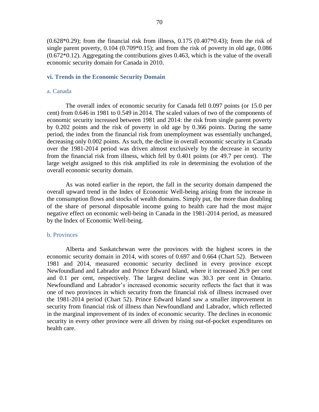$(0.628*0.29)$ ; from the financial risk from illness,  $0.175$   $(0.407*0.43)$ ; from the risk of single parent poverty, 0.104 (0.709\*0.15); and from the risk of poverty in old age, 0.086 (0.672\*0.12). Aggregating the contributions gives 0.463, which is the value of the overall economic security domain for Canada in 2010.

## **vi. Trends in the Economic Security Domain**

#### a. Canada

The overall index of economic security for Canada fell 0.097 points (or 15.0 per cent) from 0.646 in 1981 to 0.549 in 2014. The scaled values of two of the components of economic security increased between 1981 and 2014: the risk from single parent poverty by 0.202 points and the risk of poverty in old age by 0.366 points. During the same period, the index from the financial risk from unemployment was essentially unchanged, decreasing only 0.002 points. As such, the decline in overall economic security in Canada over the 1981-2014 period was driven almost exclusively by the decrease in security from the financial risk from illness, which fell by 0.401 points (or 49.7 per cent). The large weight assigned to this risk amplified its role in determining the evolution of the overall economic security domain.

As was noted earlier in the report, the fall in the security domain dampened the overall upward trend in the Index of Economic Well-being arising from the increase in the consumption flows and stocks of wealth domains. Simply put, the more than doubling of the share of personal disposable income going to health care had the most major negative effect on economic well-being in Canada in the 1981-2014 period, as measured by the Index of Economic Well-being.

# b. Provinces

Alberta and Saskatchewan were the provinces with the highest scores in the economic security domain in 2014, with scores of 0.697 and 0.664 [\(Chart 52\)](#page-71-0). Between 1981 and 2014, measured economic security declined in every province except Newfoundland and Labrador and Prince Edward Island, where it increased 26.9 per cent and 0.1 per cent, respectively. The largest decline was 30.3 per cent in Ontario. Newfoundland and Labrador's increased economic security reflects the fact that it was one of two provinces in which security from the financial risk of illness increased over the 1981-2014 period [\(Chart 52\)](#page-71-0). Prince Edward Island saw a smaller improvement in security from financial risk of illness than Newfoundland and Labrador, which reflected in the marginal improvement of its index of economic security. The declines in economic security in every other province were all driven by rising out-of-pocket expenditures on health care.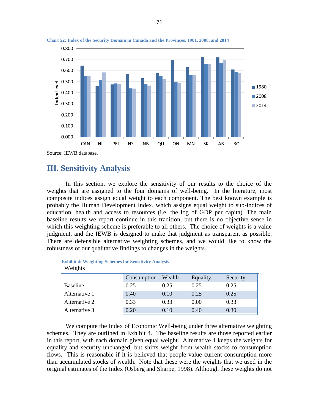

<span id="page-71-0"></span>**Chart 52: Index of the Security Domain in Canada and the Provinces, 1981, 2008, and 2014**

# **III. Sensitivity Analysis**

In this section, we explore the sensitivity of our results to the choice of the weights that are assigned to the four domains of well-being. In the literature, most composite indices assign equal weight to each component. The best known example is probably the Human Development Index, which assigns equal weight to sub-indices of education, health and access to resources (i.e. the log of GDP per capita). The main baseline results we report continue in this tradition, but there is no objective sense in which this weighting scheme is preferable to all others. The choice of weights is a value judgment, and the IEWB is designed to make that judgment as transparent as possible. There are defensible alternative weighting schemes, and we would like to know the robustness of our qualitative findings to changes in the weights.

| <b>EXHIBIT 4: WEIGHING SCHEMES TOT SCHEMATION ANIALYSIS</b><br>Weights |             |        |          |          |  |  |  |
|------------------------------------------------------------------------|-------------|--------|----------|----------|--|--|--|
|                                                                        | Consumption | Wealth | Equality | Security |  |  |  |
| <b>Baseline</b>                                                        | 0.25        | 0.25   | 0.25     | 0.25     |  |  |  |
| Alternative 1                                                          | 0.40        | 0.10   | 0.25     | 0.25     |  |  |  |
| Alternative 2                                                          | 0.33        | 0.33   | 0.00     | 0.33     |  |  |  |

Alternative 3 0.20 0.10 0.40 0.30

**Exhibit 4: Weighting Schemes for Sensitivity Analysis**

We compute the Index of Economic Well-being under three alternative weighting schemes. They are outlined in Exhibit 4. The baseline results are those reported earlier in this report, with each domain given equal weight. Alternative 1 keeps the weights for equality and security unchanged, but shifts weight from wealth stocks to consumption flows. This is reasonable if it is believed that people value current consumption more than accumulated stocks of wealth. Note that these were the weights that we used in the original estimates of the Index (Osberg and Sharpe, 1998). Although these weights do not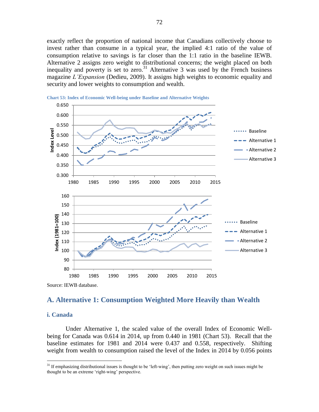exactly reflect the proportion of national income that Canadians collectively choose to invest rather than consume in a typical year, the implied 4:1 ratio of the value of consumption relative to savings is far closer than the 1:1 ratio in the baseline IEWB. Alternative 2 assigns zero weight to distributional concerns; the weight placed on both inequality and poverty is set to zero.<sup>31</sup> Alternative 3 was used by the French business magazine *L'Expansion* (Dedieu, 2009). It assigns high weights to economic equality and security and lower weights to consumption and wealth.



<span id="page-72-0"></span>

## **A. Alternative 1: Consumption Weighted More Heavily than Wealth**

### **i. Canada**

 $\overline{a}$ 

Under Alternative 1, the scaled value of the overall Index of Economic Wellbeing for Canada was 0.614 in 2014, up from 0.440 in 1981 [\(Chart 53\)](#page-72-0). Recall that the baseline estimates for 1981 and 2014 were 0.437 and 0.558, respectively. Shifting weight from wealth to consumption raised the level of the Index in 2014 by 0.056 points

 $31$  If emphasizing distributional issues is thought to be 'left-wing', then putting zero weight on such issues might be thought to be an extreme 'right-wing' perspective.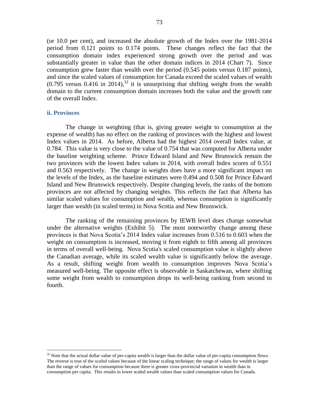(or 10.0 per cent), and increased the absolute growth of the Index over the 1981-2014 period from 0.121 points to 0.174 points. These changes reflect the fact that the consumption domain index experienced strong growth over the period and was substantially greater in value than the other domain indices in 2014 [\(Chart 7\)](#page-19-0). Since consumption grew faster than wealth over the period (0.545 points versus 0.187 points), and since the scaled values of consumption for Canada exceed the scaled values of wealth  $(0.795$  versus 0.416 in 2014),<sup>32</sup> it is unsurprising that shifting weight from the wealth domain to the current consumption domain increases both the value and the growth rate of the overall Index.

### **ii. Provinces**

 $\overline{a}$ 

The change in weighting (that is, giving greater weight to consumption at the expense of wealth) has no effect on the ranking of provinces with the highest and lowest Index values in 2014. As before, Alberta had the highest 2014 overall Index value, at 0.784. This value is very close to the value of 0.754 that was computed for Alberta under the baseline weighting scheme. Prince Edward Island and New Brunswick remain the two provinces with the lowest Index values in 2014, with overall Index scores of 0.551 and 0.563 respectively. The change in weights does have a more significant impact on the levels of the Index, as the baseline estimates were 0.494 and 0.508 for Prince Edward Island and New Brunswick respectively. Despite changing levels, the ranks of the bottom provinces are not affected by changing weights. This reflects the fact that Alberta has similar scaled values for consumption and wealth, whereas consumption is significantly larger than wealth (in scaled terms) in Nova Scotia and New Brunswick.

The ranking of the remaining provinces by IEWB level does change somewhat under the alternative weights [\(Exhibit 5\)](#page-74-0). The most noteworthy change among these provinces is that Nova Scotia's 2014 Index value increases from 0.516 to 0.603 when the weight on consumption is increased, moving it from eighth to fifth among all provinces in terms of overall well-being. Nova Scotia's scaled consumption value is slightly above the Canadian average, while its scaled wealth value is significantly below the average. As a result, shifting weight from wealth to consumption improves Nova Scotia's measured well-being. The opposite effect is observable in Saskatchewan, where shifting some weight from wealth to consumption drops its well-being ranking from second to fourth.

 $32$  Note that the actual dollar value of per-capita wealth is larger than the dollar value of per-capita consumption flows. The reverse is true of the *scaled* values because of the linear scaling technique; the range of values for wealth is larger than the range of values for consumption because there is greater cross-provincial variation in wealth than in consumption per capita. This results in lower scaled wealth values than scaled consumption values for Canada.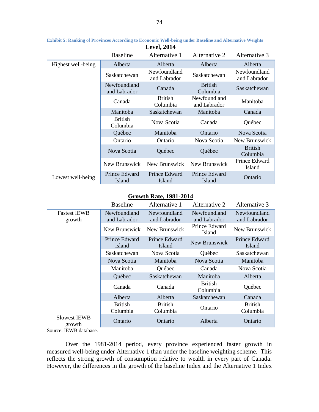| <b>Level, 2014</b> |                              |                              |                              |                              |  |  |  |
|--------------------|------------------------------|------------------------------|------------------------------|------------------------------|--|--|--|
|                    | <b>Baseline</b>              | Alternative 1                | Alternative 2                | Alternative 3                |  |  |  |
| Highest well-being | Alberta                      | Alberta                      | Alberta                      | Alberta                      |  |  |  |
|                    | Saskatchewan                 | Newfoundland<br>and Labrador | Saskatchewan                 | Newfoundland<br>and Labrador |  |  |  |
|                    | Newfoundland<br>and Labrador | Canada                       | <b>British</b><br>Columbia   | Saskatchewan                 |  |  |  |
|                    | Canada                       | <b>British</b><br>Columbia   | Newfoundland<br>and Labrador | Manitoba                     |  |  |  |
|                    | Manitoba                     | Saskatchewan                 | Manitoba                     | Canada                       |  |  |  |
|                    | <b>British</b><br>Columbia   | Nova Scotia                  | Canada                       | Québec                       |  |  |  |
|                    | Québec                       | Manitoba                     | Ontario                      | Nova Scotia                  |  |  |  |
|                    | Ontario                      | Ontario                      | Nova Scotia                  | New Brunswick                |  |  |  |
|                    | Nova Scotia                  | Québec                       | Québec                       | <b>British</b><br>Columbia   |  |  |  |
|                    | New Brunswick                | New Brunswick                | New Brunswick                | Prince Edward<br>Island      |  |  |  |
| Lowest well-being  | Prince Edward<br>Island      | Prince Edward<br>Island      | Prince Edward<br>Island      | Ontario                      |  |  |  |

<span id="page-74-0"></span>**Exhibit 5: Ranking of Provinces According to Economic Well-being under Baseline and Alternative Weights**

### **Growth Rate, 1981-2014**

|                               | <b>Baseline</b>              | Alternative 1                | Alternative 2                | Alternative 3                |
|-------------------------------|------------------------------|------------------------------|------------------------------|------------------------------|
| <b>Fastest IEWB</b><br>growth | Newfoundland<br>and Labrador | Newfoundland<br>and Labrador | Newfoundland<br>and Labrador | Newfoundland<br>and Labrador |
|                               | New Brunswick                | New Brunswick                | Prince Edward<br>Island      | New Brunswick                |
|                               | Prince Edward<br>Island      | Prince Edward<br>Island      | New Brunswick                | Prince Edward<br>Island      |
|                               | Saskatchewan                 | Nova Scotia                  | Québec                       | Saskatchewan                 |
|                               | Nova Scotia                  | Manitoba                     | Nova Scotia                  | Manitoba                     |
|                               | Manitoba                     | Québec                       | Canada                       | Nova Scotia                  |
|                               | Québec                       | Saskatchewan                 | Manitoba                     | Alberta                      |
|                               | Canada                       | Canada                       | <b>British</b><br>Columbia   | Québec                       |
|                               | Alberta                      | Alberta                      | Saskatchewan                 | Canada                       |
|                               | <b>British</b><br>Columbia   | <b>British</b><br>Columbia   | Ontario                      | <b>British</b><br>Columbia   |
| Slowest IEWB<br>growth        | Ontario                      | Ontario                      | Alberta                      | Ontario                      |
| Source: IEWB database.        |                              |                              |                              |                              |

Over the 1981-2014 period, every province experienced faster growth in measured well-being under Alternative 1 than under the baseline weighting scheme. This reflects the strong growth of consumption relative to wealth in every part of Canada. However, the differences in the growth of the baseline Index and the Alternative 1 Index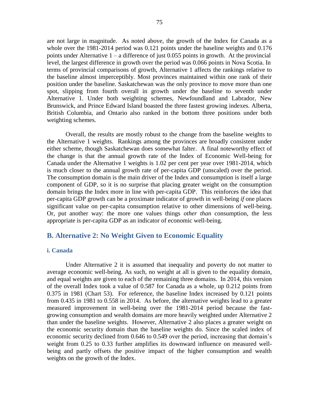are not large in magnitude. As noted above, the growth of the Index for Canada as a whole over the 1981-2014 period was 0.121 points under the baseline weights and 0.176 points under Alternative 1 – a difference of just 0.055 points in growth. At the provincial level, the largest difference in growth over the period was 0.066 points in Nova Scotia. In terms of provincial comparisons of growth, Alternative 1 affects the rankings relative to the baseline almost imperceptibly. Most provinces maintained within one rank of their position under the baseline. Saskatchewan was the only province to move more than one spot, slipping from fourth overall in growth under the baseline to seventh under Alternative 1. Under both weighting schemes, Newfoundland and Labrador, New Brunswick, and Prince Edward Island boasted the three fastest growing indexes. Alberta, British Columbia, and Ontario also ranked in the bottom three positions under both weighting schemes.

Overall, the results are mostly robust to the change from the baseline weights to the Alternative 1 weights. Rankings among the provinces are broadly consistent under either scheme, though Saskatchewan does somewhat falter. A final noteworthy effect of the change is that the annual growth rate of the Index of Economic Well-being for Canada under the Alternative 1 weights is 1.02 per cent per year over 1981-2014, which is much closer to the annual growth rate of per-capita GDP (unscaled) over the period. The consumption domain is the main driver of the Index and consumption is itself a large component of GDP, so it is no surprise that placing greater weight on the consumption domain brings the Index more in line with per-capita GDP. This reinforces the idea that per-capita GDP growth can be a proximate indicator of growth in well-being *if* one places significant value on per-capita consumption relative to other dimensions of well-being. Or, put another way: the more one values things *other than* consumption, the less appropriate is per-capita GDP as an indicator of economic well-being.

## **B. Alternative 2: No Weight Given to Economic Equality**

### **i. Canada**

Under Alternative 2 it is assumed that inequality and poverty do not matter to average economic well-being. As such, no weight at all is given to the equality domain, and equal weights are given to each of the remaining three domains. In 2014, this version of the overall Index took a value of 0.587 for Canada as a whole, up 0.212 points from 0.375 in 1981 [\(Chart 53\)](#page-72-0). For reference, the baseline Index increased by 0.121 points from 0.435 in 1981 to 0.558 in 2014. As before, the alternative weights lead to a greater measured improvement in well-being over the 1981-2014 period because the fastgrowing consumption and wealth domains are more heavily weighted under Alternative 2 than under the baseline weights. However, Alternative 2 also places a greater weight on the economic security domain than the baseline weights do. Since the scaled index of economic security declined from 0.646 to 0.549 over the period, increasing that domain's weight from 0.25 to 0.33 further amplifies its downward influence on measured wellbeing and partly offsets the positive impact of the higher consumption and wealth weights on the growth of the Index.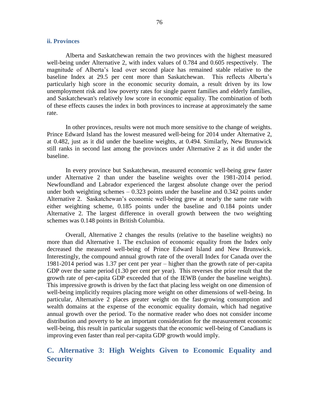### **ii. Provinces**

Alberta and Saskatchewan remain the two provinces with the highest measured well-being under Alternative 2, with index values of 0.784 and 0.605 respectively. The magnitude of Alberta's lead over second place has remained stable relative to the baseline Index at 29.5 per cent more than Saskatchewan. This reflects Alberta's particularly high score in the economic security domain, a result driven by its low unemployment risk and low poverty rates for single parent families and elderly families, and Saskatchewan's relatively low score in economic equality. The combination of both of these effects causes the index in both provinces to increase at approximately the same rate.

In other provinces, results were not much more sensitive to the change of weights. Prince Edward Island has the lowest measured well-being for 2014 under Alternative 2, at 0.482, just as it did under the baseline weights, at 0.494. Similarly, New Brunswick still ranks in second last among the provinces under Alternative 2 as it did under the baseline.

In every province but Saskatchewan, measured economic well-being grew faster under Alternative 2 than under the baseline weights over the 1981-2014 period. Newfoundland and Labrador experienced the largest absolute change over the period under both weighting schemes – 0.323 points under the baseline and 0.342 points under Alternative 2. Saskatchewan's economic well-being grew at nearly the same rate with either weighting scheme, 0.185 points under the baseline and 0.184 points under Alternative 2. The largest difference in overall growth between the two weighting schemes was 0.148 points in British Columbia.

Overall, Alternative 2 changes the results (relative to the baseline weights) no more than did Alternative 1. The exclusion of economic equality from the Index only decreased the measured well-being of Prince Edward Island and New Brunswick. Interestingly, the compound annual growth rate of the overall Index for Canada over the 1981-2014 period was 1.37 per cent per year – higher than the growth rate of per-capita GDP over the same period (1.30 per cent per year). This reverses the prior result that the growth rate of per-capita GDP exceeded that of the IEWB (under the baseline weights). This impressive growth is driven by the fact that placing less weight on one dimension of well-being implicitly requires placing more weight on other dimensions of well-being. In particular, Alternative 2 places greater weight on the fast-growing consumption and wealth domains at the expense of the economic equality domain, which had negative annual growth over the period. To the normative reader who does not consider income distribution and poverty to be an important consideration for the measurement economic well-being, this result in particular suggests that the economic well-being of Canadians is improving even faster than real per-capita GDP growth would imply.

## **C. Alternative 3: High Weights Given to Economic Equality and Security**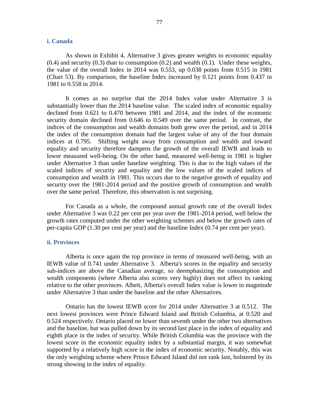### **i. Canada**

As shown in Exhibit 4, Alternative 3 gives greater weights to economic equality  $(0.4)$  and security  $(0.3)$  than to consumption  $(0.2)$  and wealth  $(0.1)$ . Under these weights, the value of the overall Index in 2014 was 0.553, up 0.038 points from 0.515 in 1981 [\(Chart 53\)](#page-72-0). By comparison, the baseline Index increased by 0.121 points from 0.437 in 1981 to 0.558 in 2014.

It comes as no surprise that the 2014 Index value under Alternative 3 is substantially lower than the 2014 baseline value. The scaled index of economic equality declined from 0.621 to 0.470 between 1981 and 2014, and the index of the economic security domain declined from 0.646 to 0.549 over the same period. In contrast, the indices of the consumption and wealth domains both grew over the period, and in 2014 the index of the consumption domain had the largest value of any of the four domain indices at 0.795. Shifting weight away from consumption and wealth and toward equality and security therefore dampens the growth of the overall IEWB and leads to lower measured well-being. On the other hand, measured well-being in 1981 is higher under Alternative 3 than under baseline weighting. This is due to the high values of the scaled indices of security and equality and the low values of the scaled indices of consumption and wealth in 1981. This occurs due to the negative growth of equality and security over the 1981-2014 period and the positive growth of consumption and wealth over the same period. Therefore, this observation is not surprising.

For Canada as a whole, the compound annual growth rate of the overall Index under Alternative 3 was 0.22 per cent per year over the 1981-2014 period, well below the growth rates computed under the other weighting schemes and below the growth rates of per-capita GDP (1.30 per cent per year) and the baseline Index (0.74 per cent per year).

#### **ii. Provinces**

Alberta is once again the top province in terms of measured well-being, with an IEWB value of 0.741 under Alternative 3. Alberta's scores in the equality and security sub-indices are above the Canadian average, so deemphasizing the consumption and wealth components (where Alberta also scores very highly) does not affect its ranking relative to the other provinces. Albeit, Alberta's overall Index value is lower in magnitude under Alternative 3 than under the baseline and the other Alternatives.

Ontario has the lowest IEWB score for 2014 under Alternative 3 at 0.512. The next lowest provinces were Prince Edward Island and British Columbia, at 0.520 and 0.524 respectively. Ontario placed no lower than seventh under the other two alternatives and the baseline, but was pulled down by its second last place in the index of equality and eighth place in the index of security. While British Columbia was the province with the lowest score in the economic equality index by a substantial margin, it was somewhat supported by a relatively high score in the index of economic security. Notably, this was the only weighting scheme where Prince Edward Island did not rank last, bolstered by its strong showing in the index of equality.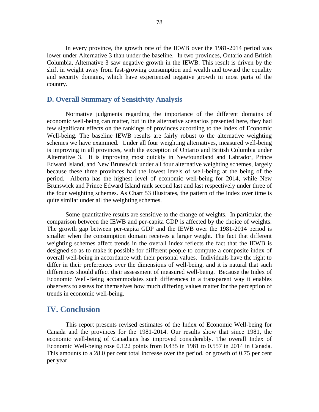In every province, the growth rate of the IEWB over the 1981-2014 period was lower under Alternative 3 than under the baseline. In two provinces, Ontario and British Columbia, Alternative 3 saw negative growth in the IEWB. This result is driven by the shift in weight away from fast-growing consumption and wealth and toward the equality and security domains, which have experienced negative growth in most parts of the country.

### **D. Overall Summary of Sensitivity Analysis**

Normative judgments regarding the importance of the different domains of economic well-being can matter, but in the alternative scenarios presented here, they had few significant effects on the rankings of provinces according to the Index of Economic Well-being. The baseline IEWB results are fairly robust to the alternative weighting schemes we have examined. Under all four weighting alternatives, measured well-being is improving in all provinces, with the exception of Ontario and British Columbia under Alternative 3. It is improving most quickly in Newfoundland and Labrador, Prince Edward Island, and New Brunswick under all four alternative weighting schemes, largely because these three provinces had the lowest levels of well-being at the being of the period. Alberta has the highest level of economic well-being for 2014, while New Brunswick and Prince Edward Island rank second last and last respectively under three of the four weighting schemes. As [Chart 53](#page-72-0) illustrates, the pattern of the Index over time is quite similar under all the weighting schemes.

Some quantitative results are sensitive to the change of weights. In particular, the comparison between the IEWB and per-capita GDP is affected by the choice of weights. The growth gap between per-capita GDP and the IEWB over the 1981-2014 period is smaller when the consumption domain receives a larger weight. The fact that different weighting schemes affect trends in the overall index reflects the fact that the IEWB is designed so as to make it possible for different people to compute a composite index of overall well-being in accordance with their personal values. Individuals have the right to differ in their preferences over the dimensions of well-being, and it is natural that such differences should affect their assessment of measured well-being. Because the Index of Economic Well-Being accommodates such differences in a transparent way it enables observers to assess for themselves how much differing values matter for the perception of trends in economic well-being.

## **IV. Conclusion**

This report presents revised estimates of the Index of Economic Well-being for Canada and the provinces for the 1981-2014. Our results show that since 1981, the economic well-being of Canadians has improved considerably. The overall Index of Economic Well-being rose 0.122 points from 0.435 in 1981 to 0.557 in 2014 in Canada. This amounts to a 28.0 per cent total increase over the period, or growth of 0.75 per cent per year.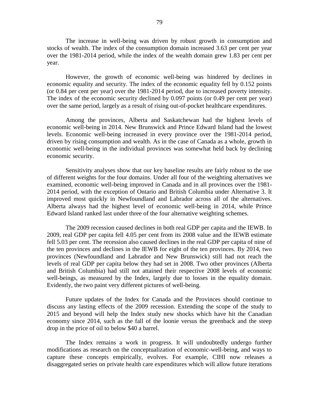The increase in well-being was driven by robust growth in consumption and stocks of wealth. The index of the consumption domain increased 3.63 per cent per year over the 1981-2014 period, while the index of the wealth domain grew 1.83 per cent per year.

However, the growth of economic well-being was hindered by declines in economic equality and security. The index of the economic equality fell by 0.152 points (or 0.84 per cent per year) over the 1981-2014 period, due to increased poverty intensity. The index of the economic security declined by 0.097 points (or 0.49 per cent per year) over the same period, largely as a result of rising out-of-pocket healthcare expenditures.

Among the provinces, Alberta and Saskatchewan had the highest levels of economic well-being in 2014. New Brunswick and Prince Edward Island had the lowest levels. Economic well-being increased in every province over the 1981-2014 period, driven by rising consumption and wealth. As in the case of Canada as a whole, growth in economic well-being in the individual provinces was somewhat held back by declining economic security.

Sensitivity analyses show that our key baseline results are fairly robust to the use of different weights for the four domains. Under all four of the weighting alternatives we examined, economic well-being improved in Canada and in all provinces over the 1981- 2014 period, with the exception of Ontario and British Columbia under Alternative 3. It improved most quickly in Newfoundland and Labrador across all of the alternatives. Alberta always had the highest level of economic well-being in 2014, while Prince Edward Island ranked last under three of the four alternative weighting schemes.

The 2009 recession caused declines in both real GDP per capita and the IEWB. In 2009, real GDP per capita fell 4.05 per cent from its 2008 value and the IEWB estimate fell 5.03 per cent. The recession also caused declines in the real GDP per capita of nine of the ten provinces and declines in the IEWB for eight of the ten provinces. By 2014, two provinces (Newfoundland and Labrador and New Brunswick) still had not reach the levels of real GDP per capita below they had set in 2008. Two other provinces (Alberta and British Columbia) had still not attained their respective 2008 levels of economic well-beings, as measured by the Index, largely due to losses in the equality domain. Evidently, the two paint very different pictures of well-being.

Future updates of the Index for Canada and the Provinces should continue to discuss any lasting effects of the 2009 recession. Extending the scope of the study to 2015 and beyond will help the Index study new shocks which have hit the Canadian economy since 2014, such as the fall of the loonie versus the greenback and the steep drop in the price of oil to below \$40 a barrel.

The Index remains a work in progress. It will undoubtedly undergo further modifications as research on the conceptualization of economic-well-being, and ways to capture these concepts empirically, evolves. For example, CIHI now releases a disaggregated series on private health care expenditures which will allow future iterations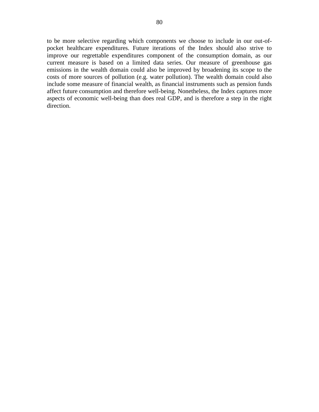to be more selective regarding which components we choose to include in our out-ofpocket healthcare expenditures. Future iterations of the Index should also strive to improve our regrettable expenditures component of the consumption domain, as our current measure is based on a limited data series. Our measure of greenhouse gas emissions in the wealth domain could also be improved by broadening its scope to the costs of more sources of pollution (e.g. water pollution). The wealth domain could also include some measure of financial wealth, as financial instruments such as pension funds affect future consumption and therefore well-being. Nonetheless, the Index captures more aspects of economic well-being than does real GDP, and is therefore a step in the right direction.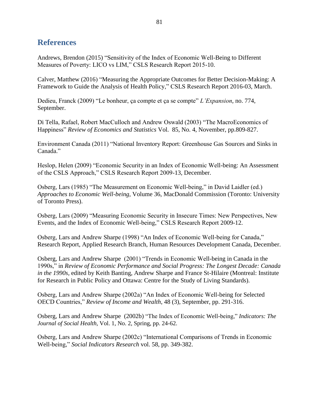# **References**

Andrews, Brendon (2015) "Sensitivity of the Index of Economic Well-Being to Different Measures of Poverty: LICO vs LIM," CSLS Research Report 2015-10.

Calver, Matthew (2016) "Measuring the Appropriate Outcomes for Better Decision-Making: A Framework to Guide the Analysis of Health Policy," CSLS Research Report 2016-03, March.

Dedieu, Franck (2009) "Le bonheur, ça compte et ça se compte" *L'Expansion*, no. 774, September.

Di Tella, Rafael, Robert MacCulloch and Andrew Oswald (2003) "The MacroEconomics of Happiness" *Review of Economics and Statistics* Vol. 85, No. 4, November, pp.809-827.

Environment Canada (2011) "National Inventory Report: Greenhouse Gas Sources and Sinks in Canada."

Heslop, Helen (2009) "Economic Security in an Index of Economic Well-being: An Assessment of the CSLS Approach," CSLS Research Report 2009-13, December.

Osberg, Lars (1985) "The Measurement on Economic Well-being," in David Laidler (ed.) *Approaches to Economic Well-being*, Volume 36, MacDonald Commission (Toronto: University of Toronto Press).

Osberg, Lars (2009) "Measuring Economic Security in Insecure Times: New Perspectives, New Events, and the Index of Economic Well-being," CSLS Research Report 2009-12.

Osberg, Lars and Andrew Sharpe (1998) "An Index of Economic Well-being for Canada," Research Report, Applied Research Branch, Human Resources Development Canada, December.

Osberg, Lars and Andrew Sharpe (2001) "Trends in Economic Well-being in Canada in the 1990s," in *Review of Economic Performance and Social Progress: The Longest Decade: Canada in the 1990s,* edited by Keith Banting, Andrew Sharpe and France St-Hilaire (Montreal: Institute for Research in Public Policy and Ottawa: Centre for the Study of Living Standards).

Osberg, Lars and Andrew Sharpe (2002a) "An Index of Economic Well-being for Selected OECD Countries," *Review of Income and Wealth*, 48 (3), September, pp. 291-316.

Osberg, Lars and Andrew Sharpe (2002b) "The Index of Economic Well-being," *Indicators: The Journal of Social Health,* Vol. 1, No. 2, Spring, pp. 24-62.

Osberg, Lars and Andrew Sharpe (2002c) "International Comparisons of Trends in Economic Well-being," *Social Indicators Research* vol. 58, pp. 349-382.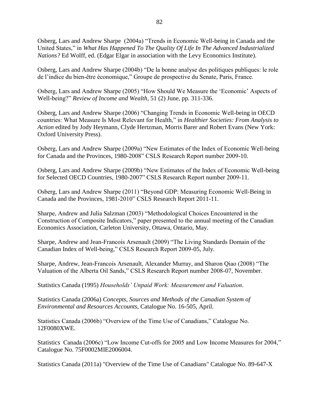Osberg, Lars and Andrew Sharpe (2004a) "Trends in Economic Well-being in Canada and the United States," in *What Has Happened To The Quality Of Life In The Advanced Industrialized Nations?* Ed Wolff, ed. (Edgar Elgar in association with the Levy Economics Institute).

Osberg, Lars and Andrew Sharpe (2004b) "De la bonne analyse des politiques publiques: le role de l'indice du bien-être économique," Groupe de prospective du Senate, Paris, France.

Osberg, Lars and Andrew Sharpe (2005) "How Should We Measure the 'Economic' Aspects of Well-being?" *Review of Income and Wealth*, 51 (2) June, pp. 311-336.

Osberg, Lars and Andrew Sharpe (2006) "Changing Trends in Economic Well-being in OECD countries: What Measure Is Most Relevant for Health," in *Healthier Societies: From Analysis to Action* edited by Jody Heymann, Clyde Hertzman, Morris Barer and Robert Evans (New York: Oxford University Press).

Osberg, Lars and Andrew Sharpe (2009a) "New Estimates of the Index of Economic Well-being for Canada and the Provinces, 1980-2008" CSLS Research Report number 2009-10.

Osberg, Lars and Andrew Sharpe (2009b) "New Estimates of the Index of Economic Well-being for Selected OECD Countries, 1980-2007" CSLS Research Report number 2009-11.

Osberg, Lars and Andrew Sharpe (2011) "Beyond GDP: Measuring Economic Well-Being in Canada and the Provinces, 1981-2010" CSLS Research Report 2011-11.

Sharpe, Andrew and Julia Salzman (2003) "Methodological Choices Encountered in the Construction of Composite Indicators," paper presented to the annual meeting of the Canadian Economics Association, Carleton University, Ottawa, Ontario, May.

Sharpe, Andrew and Jean-Francois Arsenault (2009) "The Living Standards Domain of the Canadian Index of Well-being," CSLS Research Report 2009-05, July.

Sharpe, Andrew, Jean-Francois Arsenault, Alexander Murray, and Sharon Qiao (2008) "The Valuation of the Alberta Oil Sands," CSLS Research Report number 2008-07, November.

Statistics Canada (1995) *Households' Unpaid Work: Measurement and Valuation*.

Statistics Canada (2006a) *Concepts, Sources and Methods of the Canadian System of Environmental and Resources Accounts*, Catalogue No. 16-505, April.

Statistics Canada (2006b) "Overview of the Time Use of Canadians," Catalogue No. 12F0080XWE.

Statistics Canada (2006c) "Low Income Cut-offs for 2005 and Low Income Measures for 2004," Catalogue No. 75F0002MIE2006004.

Statistics Canada (2011a) "Overview of the Time Use of Canadians" Catalogue No. 89-647-X